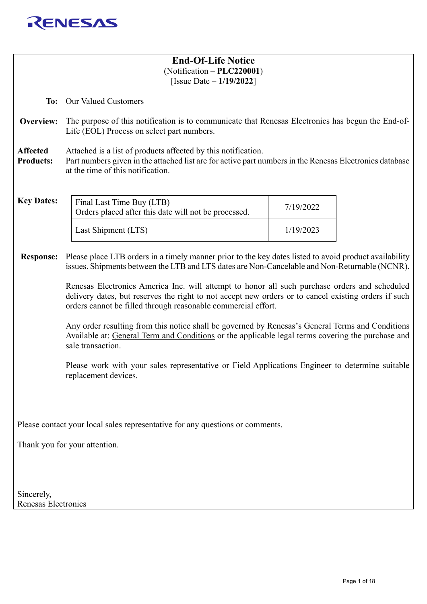

| <b>End-Of-Life Notice</b>                                                     |                                                                                                                                                                                                                                                                        |           |  |  |
|-------------------------------------------------------------------------------|------------------------------------------------------------------------------------------------------------------------------------------------------------------------------------------------------------------------------------------------------------------------|-----------|--|--|
|                                                                               | $(Notification - PLC220001)$<br>[Issue Date $-1/19/2022$ ]                                                                                                                                                                                                             |           |  |  |
|                                                                               | To: Our Valued Customers                                                                                                                                                                                                                                               |           |  |  |
| Overview:                                                                     | The purpose of this notification is to communicate that Renesas Electronics has begun the End-of-<br>Life (EOL) Process on select part numbers.                                                                                                                        |           |  |  |
| <b>Affected</b><br><b>Products:</b>                                           | Attached is a list of products affected by this notification.<br>Part numbers given in the attached list are for active part numbers in the Renesas Electronics database<br>at the time of this notification.                                                          |           |  |  |
| <b>Key Dates:</b>                                                             | Final Last Time Buy (LTB)<br>Orders placed after this date will not be processed.                                                                                                                                                                                      | 7/19/2022 |  |  |
|                                                                               | Last Shipment (LTS)                                                                                                                                                                                                                                                    | 1/19/2023 |  |  |
| <b>Response:</b>                                                              | Please place LTB orders in a timely manner prior to the key dates listed to avoid product availability<br>issues. Shipments between the LTB and LTS dates are Non-Cancelable and Non-Returnable (NCNR).                                                                |           |  |  |
|                                                                               | Renesas Electronics America Inc. will attempt to honor all such purchase orders and scheduled<br>delivery dates, but reserves the right to not accept new orders or to cancel existing orders if such<br>orders cannot be filled through reasonable commercial effort. |           |  |  |
|                                                                               | Any order resulting from this notice shall be governed by Renesas's General Terms and Conditions<br>Available at: General Term and Conditions or the applicable legal terms covering the purchase and<br>sale transaction.                                             |           |  |  |
|                                                                               | Please work with your sales representative or Field Applications Engineer to determine suitable<br>replacement devices.                                                                                                                                                |           |  |  |
|                                                                               |                                                                                                                                                                                                                                                                        |           |  |  |
| Please contact your local sales representative for any questions or comments. |                                                                                                                                                                                                                                                                        |           |  |  |
| Thank you for your attention.                                                 |                                                                                                                                                                                                                                                                        |           |  |  |
|                                                                               |                                                                                                                                                                                                                                                                        |           |  |  |
| Sincerely,<br>Renesas Electronics                                             |                                                                                                                                                                                                                                                                        |           |  |  |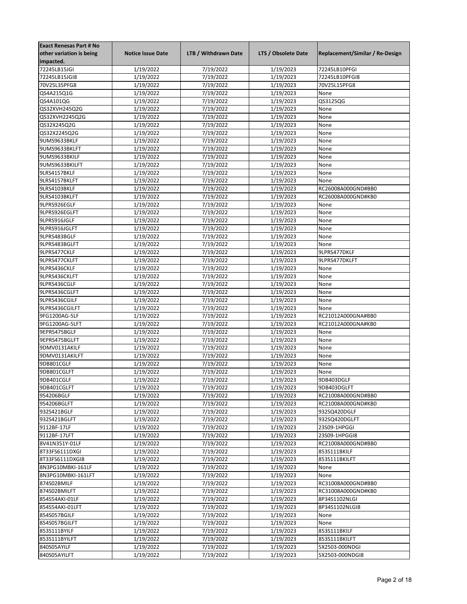| <b>Exact Renesas Part # No</b> |                          |                      |                     |                                 |
|--------------------------------|--------------------------|----------------------|---------------------|---------------------------------|
| other variation is being       | <b>Notice Issue Date</b> | LTB / Withdrawn Date | LTS / Obsolete Date | Replacement/Similar / Re-Design |
| impacted.                      |                          |                      |                     |                                 |
| 72245LB15JGI                   | 1/19/2022                | 7/19/2022            | 1/19/2023           | 72245LB10PFGI                   |
| 72245LB15JGI8                  | 1/19/2022                | 7/19/2022            | 1/19/2023           | 72245LB10PFGI8                  |
| 70V25L35PFG8                   | 1/19/2022                | 7/19/2022            | 1/19/2023           | 70V25L15PFG8                    |
| QS4A215Q1G                     | 1/19/2022                | 7/19/2022            | 1/19/2023           | None                            |
| QS4A101QG                      | 1/19/2022                | 7/19/2022            | 1/19/2023           | QS3125QG                        |
| QS32XVH245Q2G                  | 1/19/2022                | 7/19/2022            | 1/19/2023           | None                            |
| QS32XVH2245Q2G                 | 1/19/2022                | 7/19/2022            | 1/19/2023           | None                            |
|                                | 1/19/2022                |                      | 1/19/2023           |                                 |
| QS32X245Q2G                    |                          | 7/19/2022            |                     | None                            |
| QS32X2245Q2G                   | 1/19/2022                | 7/19/2022            | 1/19/2023           | None                            |
| 9UMS9633BKLF                   | 1/19/2022                | 7/19/2022            | 1/19/2023           | None                            |
| 9UMS9633BKLFT                  | 1/19/2022                | 7/19/2022            | 1/19/2023           | None                            |
| 9UMS9633BKILF                  | 1/19/2022                | 7/19/2022            | 1/19/2023           | None                            |
| 9UMS9633BKILFT                 | 1/19/2022                | 7/19/2022            | 1/19/2023           | None                            |
| 9LRS4157BKLF                   | 1/19/2022                | 7/19/2022            | 1/19/2023           | None                            |
| 9LRS4157BKLFT                  | 1/19/2022                | 7/19/2022            | 1/19/2023           | None                            |
| 9LRS4103BKLF                   | 1/19/2022                | 7/19/2022            | 1/19/2023           | RC26008A000GND#BB0              |
| 9LRS4103BKLFT                  | 1/19/2022                | 7/19/2022            | 1/19/2023           | RC26008A000GND#KB0              |
| 9LPRS926EGLF                   | 1/19/2022                | 7/19/2022            | 1/19/2023           | None                            |
| 9LPRS926EGLFT                  | 1/19/2022                | 7/19/2022            | 1/19/2023           | None                            |
| 9LPRS916JGLF                   | 1/19/2022                | 7/19/2022            | 1/19/2023           | None                            |
| 9LPRS916JGLFT                  | 1/19/2022                | 7/19/2022            | 1/19/2023           | None                            |
| 9LPRS483BGLF                   | 1/19/2022                | 7/19/2022            | 1/19/2023           | None                            |
| 9LPRS483BGLFT                  | 1/19/2022                | 7/19/2022            | 1/19/2023           | None                            |
| 9LPRS477CKLF                   | 1/19/2022                | 7/19/2022            | 1/19/2023           | 9LPRS477DKLF                    |
| 9LPRS477CKLFT                  | 1/19/2022                | 7/19/2022            | 1/19/2023           | 9LPRS477DKLFT                   |
| 9LPRS436CKLF                   | 1/19/2022                | 7/19/2022            | 1/19/2023           | None                            |
| 9LPRS436CKLFT                  | 1/19/2022                | 7/19/2022            | 1/19/2023           | None                            |
| 9LPRS436CGLF                   |                          | 7/19/2022            |                     | None                            |
|                                | 1/19/2022                |                      | 1/19/2023           |                                 |
| 9LPRS436CGLFT                  | 1/19/2022                | 7/19/2022            | 1/19/2023           | None                            |
| 9LPRS436CGILF                  | 1/19/2022                | 7/19/2022            | 1/19/2023           | None                            |
| 9LPRS436CGILFT                 | 1/19/2022                | 7/19/2022            | 1/19/2023           | None                            |
| 9FG1200AG-5LF                  | 1/19/2022                | 7/19/2022            | 1/19/2023           | RC21012A000GNA#BB0              |
| 9FG1200AG-5LFT                 | 1/19/2022                | 7/19/2022            | 1/19/2023           | RC21012A000GNA#KB0              |
| 9EPRS475BGLF                   | 1/19/2022                | 7/19/2022            | 1/19/2023           | None                            |
| 9EPRS475BGLFT                  | 1/19/2022                | 7/19/2022            | 1/19/2023           | None                            |
| 9DMV0131AKILF                  | 1/19/2022                | 7/19/2022            | 1/19/2023           | None                            |
| 9DMV0131AKILFT                 | 1/19/2022                | 7/19/2022            | 1/19/2023           | None                            |
| 9DB801CGLF                     | 1/19/2022                | 7/19/2022            | 1/19/2023           | None                            |
| 9DB801CGLFT                    | 1/19/2022                | 7/19/2022            | 1/19/2023           | None                            |
| 9DB401CGLF                     | 1/19/2022                | 7/19/2022            | 1/19/2023           | 9DB403DGLF                      |
| 9DB401CGLFT                    | 1/19/2022                | 7/19/2022            | 1/19/2023           | 9DB403DGLFT                     |
| 954206BGLF                     | 1/19/2022                | 7/19/2022            | 1/19/2023           | RC21008A000GND#BB0              |
| 954206BGLFT                    | 1/19/2022                | 7/19/2022            | 1/19/2023           | RC21008A000GND#KB0              |
| 932S421BGLF                    | 1/19/2022                | 7/19/2022            | 1/19/2023           | 932SQ420DGLF                    |
| 932S421BGLFT                   | 1/19/2022                | 7/19/2022            | 1/19/2023           | 932SQ420DGLFT                   |
| 9112BF-17LF                    | 1/19/2022                | 7/19/2022            | 1/19/2023           | 23S09-1HPGGI                    |
| 9112BF-17LFT                   | 1/19/2022                | 7/19/2022            | 1/19/2023           | 23S09-1HPGGI8                   |
| 8V41N351Y-01LF                 | 1/19/2022                | 7/19/2022            | 1/19/2023           | RC21008A000GND#BB0              |
| 8T33FS6111DXGI                 | 1/19/2022                | 7/19/2022            | 1/19/2023           | 853S111BKILF                    |
| 8T33FS6111DXGI8                | 1/19/2022                | 7/19/2022            | 1/19/2023           | 853S111BKILFT                   |
| 8N3PG10MBKI-161LF              | 1/19/2022                | 7/19/2022            | 1/19/2023           | None                            |
| 8N3PG10MBKI-161LFT             | 1/19/2022                | 7/19/2022            | 1/19/2023           | None                            |
| 874S02BMILF                    | 1/19/2022                | 7/19/2022            | 1/19/2023           | RC31008A000GND#BB0              |
|                                |                          |                      |                     |                                 |
| 874S02BMILFT                   | 1/19/2022                | 7/19/2022            | 1/19/2023           | RC31008A000GND#KB0              |
| 854S54AKI-01LF                 | 1/19/2022                | 7/19/2022            | 1/19/2023           | 8P34S1102NLGI                   |
| 854S54AKI-01LFT                | 1/19/2022                | 7/19/2022            | 1/19/2023           | 8P34S1102NLGI8                  |
| 854S057BGILF                   | 1/19/2022                | 7/19/2022            | 1/19/2023           | None                            |
| 854S057BGILFT                  | 1/19/2022                | 7/19/2022            | 1/19/2023           | None                            |
| 853S111BYILF                   | 1/19/2022                | 7/19/2022            | 1/19/2023           | 853S111BKILF                    |
| 853S111BYILFT                  | 1/19/2022                | 7/19/2022            | 1/19/2023           | 853S111BKILFT                   |
| 840S05AYILF                    | 1/19/2022                | 7/19/2022            | 1/19/2023           | 5X2503-000NDGI                  |
| 840S05AYILFT                   | 1/19/2022                | 7/19/2022            | 1/19/2023           | 5X2503-000NDGI8                 |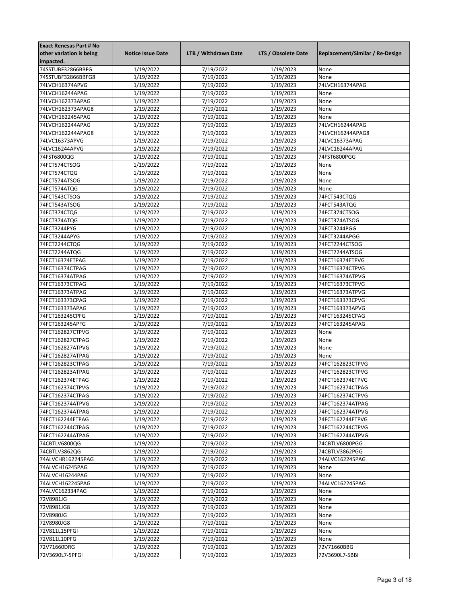| <b>Exact Renesas Part # No</b> |                          |                      |                     |                                 |
|--------------------------------|--------------------------|----------------------|---------------------|---------------------------------|
| other variation is being       | <b>Notice Issue Date</b> | LTB / Withdrawn Date | LTS / Obsolete Date | Replacement/Similar / Re-Design |
| impacted.                      |                          |                      |                     |                                 |
| 74SSTUBF32866BBFG              | 1/19/2022                | 7/19/2022            | 1/19/2023           | None                            |
| 74SSTUBF32866BBFG8             | 1/19/2022                | 7/19/2022            | 1/19/2023           | None                            |
| 74LVCH16374APVG                | 1/19/2022                | 7/19/2022            | 1/19/2023           | 74LVCH16374APAG                 |
| 74LVCH16244APAG                | 1/19/2022                | 7/19/2022            | 1/19/2023           | None                            |
| 74LVCH162373APAG               | 1/19/2022                | 7/19/2022            | 1/19/2023           | None                            |
| 74LVCH162373APAG8              | 1/19/2022                | 7/19/2022            | 1/19/2023           | None                            |
| 74LVCH162245APAG               | 1/19/2022                | 7/19/2022            | 1/19/2023           | None                            |
| 74LVCH162244APAG               | 1/19/2022                | 7/19/2022            | 1/19/2023           | 74LVCH16244APAG                 |
| 74LVCH162244APAG8              | 1/19/2022                | 7/19/2022            | 1/19/2023           | 74LVCH16244APAG8                |
| 74LVC16373APVG                 | 1/19/2022                | 7/19/2022            | 1/19/2023           | 74LVC16373APAG                  |
| 74LVC16244APVG                 | 1/19/2022                | 7/19/2022            | 1/19/2023           | 74LVC16244APAG                  |
| 74FST6800QG                    | 1/19/2022                | 7/19/2022            | 1/19/2023           | 74FST6800PGG                    |
| 74FCT574CTSOG                  | 1/19/2022                | 7/19/2022            | 1/19/2023           | None                            |
| 74FCT574CTQG                   | 1/19/2022                | 7/19/2022            | 1/19/2023           | None                            |
| 74FCT574ATSOG                  | 1/19/2022                | 7/19/2022            | 1/19/2023           | None                            |
| 74FCT574ATQG                   | 1/19/2022                | 7/19/2022            | 1/19/2023           | None                            |
| 74FCT543CTSOG                  | 1/19/2022                | 7/19/2022            | 1/19/2023           | 74FCT543CTQG                    |
| 74FCT543ATSOG                  | 1/19/2022                | 7/19/2022            | 1/19/2023           | 74FCT543ATQG                    |
| 74FCT374CTQG                   | 1/19/2022                | 7/19/2022            | 1/19/2023           | 74FCT374CTSOG                   |
| 74FCT374ATQG                   | 1/19/2022                | 7/19/2022            | 1/19/2023           | 74FCT374ATSOG                   |
|                                |                          |                      |                     |                                 |
| 74FCT3244PYG                   | 1/19/2022                | 7/19/2022            | 1/19/2023           | 74FCT3244PGG                    |
| 74FCT3244APYG                  | 1/19/2022                | 7/19/2022            | 1/19/2023           | 74FCT3244APGG                   |
| 74FCT2244CTQG                  | 1/19/2022                | 7/19/2022            | 1/19/2023           | 74FCT2244CTSOG                  |
| 74FCT2244ATQG                  | 1/19/2022                | 7/19/2022            | 1/19/2023           | 74FCT2244ATSOG                  |
| 74FCT16374ETPAG                | 1/19/2022                | 7/19/2022            | 1/19/2023           | 74FCT16374ETPVG                 |
| 74FCT16374CTPAG                | 1/19/2022                | 7/19/2022            | 1/19/2023           | 74FCT16374CTPVG                 |
| 74FCT16374ATPAG                | 1/19/2022                | 7/19/2022            | 1/19/2023           | 74FCT16374ATPVG                 |
| 74FCT16373CTPAG                | 1/19/2022                | 7/19/2022            | 1/19/2023           | 74FCT16373CTPVG                 |
| 74FCT16373ATPAG                | 1/19/2022                | 7/19/2022            | 1/19/2023           | 74FCT16373ATPVG                 |
| 74FCT163373CPAG                | 1/19/2022                | 7/19/2022            | 1/19/2023           | 74FCT163373CPVG                 |
| 74FCT163373APAG                | 1/19/2022                | 7/19/2022            | 1/19/2023           | 74FCT163373APVG                 |
| 74FCT163245CPFG                | 1/19/2022                | 7/19/2022            | 1/19/2023           | 74FCT163245CPAG                 |
| 74FCT163245APFG                | 1/19/2022                | 7/19/2022            | 1/19/2023           | 74FCT163245APAG                 |
| 74FCT162827CTPVG               | 1/19/2022                | 7/19/2022            | 1/19/2023           | None                            |
| 74FCT162827CTPAG               | 1/19/2022                | 7/19/2022            | 1/19/2023           | None                            |
| 74FCT162827ATPVG               | 1/19/2022                | 7/19/2022            | 1/19/2023           | None                            |
| 74FCT162827ATPAG               | 1/19/2022                | 7/19/2022            | 1/19/2023           | None                            |
| 74FCT162823CTPAG               | 1/19/2022                | 7/19/2022            | 1/19/2023           | 74FCT162823CTPVG                |
| 74FCT162823ATPAG               | 1/19/2022                | 7/19/2022            | 1/19/2023           | 74FCT162823CTPVG                |
| 74FCT162374ETPAG               | 1/19/2022                | 7/19/2022            | 1/19/2023           | 74FCT162374ETPVG                |
| 74FCT162374CTPVG               | 1/19/2022                | 7/19/2022            | 1/19/2023           | 74FCT162374CTPAG                |
| 74FCT162374CTPAG               | 1/19/2022                | 7/19/2022            | 1/19/2023           | 74FCT162374CTPVG                |
| 74FCT162374ATPVG               | 1/19/2022                | 7/19/2022            | 1/19/2023           | 74FCT162374ATPAG                |
| 74FCT162374ATPAG               | 1/19/2022                | 7/19/2022            | 1/19/2023           | 74FCT162374ATPVG                |
| 74FCT162244ETPAG               | 1/19/2022                | 7/19/2022            | 1/19/2023           | 74FCT162244ETPVG                |
| 74FCT162244CTPAG               | 1/19/2022                | 7/19/2022            | 1/19/2023           | 74FCT162244CTPVG                |
| 74FCT162244ATPAG               | 1/19/2022                | 7/19/2022            | 1/19/2023           | 74FCT162244ATPVG                |
| 74CBTLV6800QG                  | 1/19/2022                | 7/19/2022            | 1/19/2023           | 74CBTLV6800PGG                  |
| 74CBTLV3862QG                  | 1/19/2022                | 7/19/2022            | 1/19/2023           | 74CBTLV3862PGG                  |
| 74ALVCHR162245PAG              | 1/19/2022                | 7/19/2022            | 1/19/2023           | 74ALVC162245PAG                 |
| 74ALVCH16245PAG                | 1/19/2022                | 7/19/2022            | 1/19/2023           | None                            |
| 74ALVCH16244PAG                | 1/19/2022                | 7/19/2022            | 1/19/2023           | None                            |
| 74ALVCH162245PAG               | 1/19/2022                | 7/19/2022            | 1/19/2023           | 74ALVC162245PAG                 |
| 74ALVC162334PAG                | 1/19/2022                | 7/19/2022            | 1/19/2023           | None                            |
| 72V8981JG                      | 1/19/2022                | 7/19/2022            | 1/19/2023           | None                            |
| 72V8981JG8                     | 1/19/2022                | 7/19/2022            | 1/19/2023           | None                            |
| 72V8980JG                      | 1/19/2022                | 7/19/2022            | 1/19/2023           | None                            |
| 72V8980JG8                     | 1/19/2022                | 7/19/2022            | 1/19/2023           | None                            |
| 72V811L15PFGI                  | 1/19/2022                | 7/19/2022            | 1/19/2023           | None                            |
| 72V811L10PFG                   | 1/19/2022                | 7/19/2022            | 1/19/2023           | None                            |
| 72V71660DRG                    | 1/19/2022                | 7/19/2022            | 1/19/2023           | 72V71660BBG                     |
| 72V3690L7-5PFGI                | 1/19/2022                | 7/19/2022            | 1/19/2023           | 72V3690L7-5BBI                  |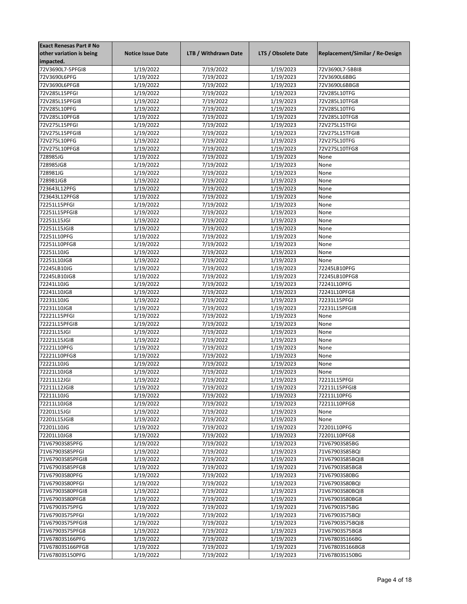| <b>Exact Renesas Part # No</b> |                          |                        |                        |                                 |
|--------------------------------|--------------------------|------------------------|------------------------|---------------------------------|
| other variation is being       | <b>Notice Issue Date</b> | LTB / Withdrawn Date   | LTS / Obsolete Date    | Replacement/Similar / Re-Design |
| impacted.                      |                          |                        |                        |                                 |
| 72V3690L7-5PFGI8               | 1/19/2022                | 7/19/2022              | 1/19/2023              | 72V3690L7-5BBI8                 |
| 72V3690L6PFG                   | 1/19/2022                | 7/19/2022              | 1/19/2023              | 72V3690L6BBG                    |
| 72V3690L6PFG8                  | 1/19/2022                | 7/19/2022              | 1/19/2023              | 72V3690L6BBG8                   |
| 72V285L15PFGI                  | 1/19/2022                | 7/19/2022              | 1/19/2023              | 72V285L10TFG                    |
| 72V285L15PFGI8                 | 1/19/2022                | 7/19/2022              | 1/19/2023              | 72V285L10TFG8                   |
| 72V285L10PFG                   | 1/19/2022                | 7/19/2022              | 1/19/2023              | 72V285L10TFG                    |
| 72V285L10PFG8                  | 1/19/2022                | 7/19/2022              | 1/19/2023              | 72V285L10TFG8                   |
| 72V275L15PFGI                  |                          | 7/19/2022              |                        | 72V275L15TFGI                   |
|                                | 1/19/2022                |                        | 1/19/2023              |                                 |
| 72V275L15PFGI8                 | 1/19/2022                | 7/19/2022              | 1/19/2023              | 72V275L15TFGI8                  |
| 72V275L10PFG                   | 1/19/2022                | 7/19/2022              | 1/19/2023              | 72V275L10TFG                    |
| 72V275L10PFG8                  | 1/19/2022                | 7/19/2022              | 1/19/2023              | 72V275L10TFG8                   |
| 728985JG                       | 1/19/2022                | 7/19/2022              | 1/19/2023              | None                            |
| 728985JG8                      | 1/19/2022                | 7/19/2022              | 1/19/2023              | None                            |
| 728981JG                       | 1/19/2022                | 7/19/2022              | 1/19/2023              | None                            |
| 728981JG8                      | 1/19/2022                | 7/19/2022              | 1/19/2023              | None                            |
| 723643L12PFG                   | 1/19/2022                | 7/19/2022              | 1/19/2023              | None                            |
| 723643L12PFG8                  | 1/19/2022                | 7/19/2022              | 1/19/2023              | None                            |
| 72251L15PFGI                   | 1/19/2022                | 7/19/2022              | 1/19/2023              | None                            |
| 72251L15PFGI8                  | 1/19/2022                | 7/19/2022              | 1/19/2023              | None                            |
| 72251L15JGI                    | 1/19/2022                | 7/19/2022              | 1/19/2023              | None                            |
| 72251L15JGI8                   | 1/19/2022                | 7/19/2022              | 1/19/2023              | None                            |
| 72251L10PFG                    | 1/19/2022                | 7/19/2022              | 1/19/2023              | None                            |
| 72251L10PFG8                   | 1/19/2022                | 7/19/2022              | 1/19/2023              | None                            |
| 72251L10JG                     | 1/19/2022                | 7/19/2022              | 1/19/2023              | None                            |
| 72251L10JG8                    | 1/19/2022                | 7/19/2022              | 1/19/2023              | None                            |
| 72245LB10JG                    | 1/19/2022                | 7/19/2022              | 1/19/2023              | 72245LB10PFG                    |
| 72245LB10JG8                   | 1/19/2022                | 7/19/2022              | 1/19/2023              | 72245LB10PFG8                   |
| 72241L10JG                     |                          |                        | 1/19/2023              | 72241L10PFG                     |
|                                | 1/19/2022                | 7/19/2022              |                        |                                 |
| 72241L10JG8                    | 1/19/2022                | 7/19/2022              | 1/19/2023              | 72241L10PFG8                    |
| 72231L10JG                     | 1/19/2022                | 7/19/2022              | 1/19/2023              | 72231L15PFGI                    |
| 72231L10JG8                    | 1/19/2022                | 7/19/2022              | 1/19/2023              | 72231L15PFGI8                   |
| 72221L15PFGI                   | 1/19/2022                | 7/19/2022              | 1/19/2023              | None                            |
| 72221L15PFGI8                  | 1/19/2022                | 7/19/2022              | 1/19/2023              | None                            |
| 72221L15JGI                    | 1/19/2022                | 7/19/2022              | 1/19/2023              | None                            |
| 72221L15JGI8                   | 1/19/2022                | 7/19/2022              | 1/19/2023              | None                            |
| 72221L10PFG                    | 1/19/2022                | 7/19/2022              | 1/19/2023              | None                            |
| 72221L10PFG8                   | 1/19/2022                | 7/19/2022              | 1/19/2023              | None                            |
| 72221L10JG                     | 1/19/2022                | 7/19/2022              | 1/19/2023              | None                            |
| 72221L10JG8                    | 1/19/2022                | 7/19/2022              | 1/19/2023              | None                            |
| 72211L12JGI                    | 1/19/2022                | 7/19/2022              | 1/19/2023              | 72211L15PFGI                    |
| 72211L12JGI8                   | 1/19/2022                | 7/19/2022              | 1/19/2023              | 72211L15PFGI8                   |
| 72211L10JG                     | 1/19/2022                | 7/19/2022              | 1/19/2023              | 72211L10PFG                     |
| 72211L10JG8                    | 1/19/2022                | 7/19/2022              | 1/19/2023              | 72211L10PFG8                    |
| 72201L15JGI                    | 1/19/2022                | 7/19/2022              | 1/19/2023              | None                            |
| 72201L15JGI8                   | 1/19/2022                | 7/19/2022              | 1/19/2023              | None                            |
| 72201L10JG                     | 1/19/2022                | 7/19/2022              | 1/19/2023              | 72201L10PFG                     |
| 72201L10JG8                    | 1/19/2022                | 7/19/2022              | 1/19/2023              | 72201L10PFG8                    |
| 71V67903S85PFG                 | 1/19/2022                | 7/19/2022              | 1/19/2023              | 71V67903S85BG                   |
| 71V67903S85PFGI                | 1/19/2022                | 7/19/2022              | 1/19/2023              | 71V67903S85BQI                  |
| 71V67903S85PFGI8               | 1/19/2022                | 7/19/2022              | 1/19/2023              | 71V67903S85BQI8                 |
| 71V67903S85PFG8                | 1/19/2022                | 7/19/2022              | 1/19/2023              | 71V67903S85BG8                  |
| 71V67903S80PFG                 | 1/19/2022                | 7/19/2022              | 1/19/2023              | 71V67903S80BG                   |
|                                |                          |                        |                        |                                 |
| 71V67903S80PFGI                | 1/19/2022                | 7/19/2022<br>7/19/2022 | 1/19/2023<br>1/19/2023 | 71V67903S80BQI                  |
| 71V67903S80PFGI8               | 1/19/2022                |                        |                        | 71V67903S80BQI8                 |
| 71V67903S80PFG8                | 1/19/2022                | 7/19/2022              | 1/19/2023              | 71V67903S80BG8                  |
| 71V67903S75PFG                 | 1/19/2022                | 7/19/2022              | 1/19/2023              | 71V67903S75BG                   |
| 71V67903S75PFGI                | 1/19/2022                | 7/19/2022              | 1/19/2023              | 71V67903S75BQI                  |
| 71V67903S75PFGI8               | 1/19/2022                | 7/19/2022              | 1/19/2023              | 71V67903S75BQI8                 |
| 71V67903S75PFG8                | 1/19/2022                | 7/19/2022              | 1/19/2023              | 71V67903S75BG8                  |
| 71V67803S166PFG                | 1/19/2022                | 7/19/2022              | 1/19/2023              | 71V67803S166BG                  |
| 71V67803S166PFG8               | 1/19/2022                | 7/19/2022              | 1/19/2023              | 71V67803S166BG8                 |
| 71V67803S150PFG                | 1/19/2022                | 7/19/2022              | 1/19/2023              | 71V67803S150BG                  |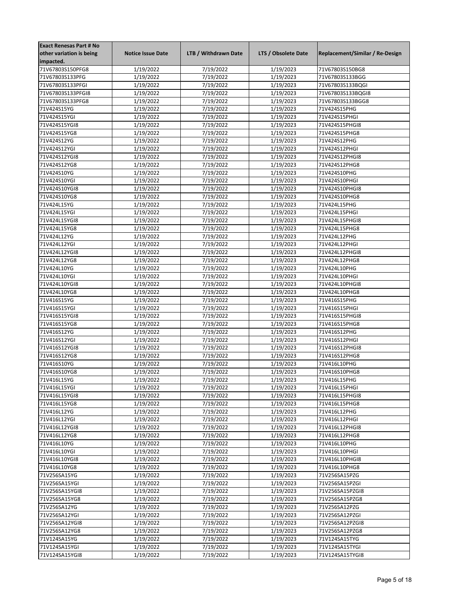| <b>Exact Renesas Part # No</b> |                          |                      |                     |                                 |
|--------------------------------|--------------------------|----------------------|---------------------|---------------------------------|
| other variation is being       | <b>Notice Issue Date</b> | LTB / Withdrawn Date | LTS / Obsolete Date | Replacement/Similar / Re-Design |
| impacted.                      |                          |                      |                     |                                 |
| 71V67803S150PFG8               | 1/19/2022                | 7/19/2022            | 1/19/2023           | 71V67803S150BG8                 |
| 71V67803S133PFG                | 1/19/2022                | 7/19/2022            | 1/19/2023           | 71V67803S133BGG                 |
| 71V67803S133PFGI               | 1/19/2022                | 7/19/2022            | 1/19/2023           | 71V67803S133BQGI                |
| 71V67803S133PFGI8              | 1/19/2022                | 7/19/2022            | 1/19/2023           | 71V67803S133BQGI8               |
| 71V67803S133PFG8               | 1/19/2022                | 7/19/2022            | 1/19/2023           | 71V67803S133BGG8                |
| 71V424S15YG                    | 1/19/2022                | 7/19/2022            | 1/19/2023           | 71V424S15PHG                    |
| 71V424S15YGI                   | 1/19/2022                | 7/19/2022            | 1/19/2023           | 71V424S15PHGI                   |
| 71V424S15YGI8                  |                          |                      | 1/19/2023           | 71V424S15PHGI8                  |
|                                | 1/19/2022                | 7/19/2022            |                     |                                 |
| 71V424S15YG8                   | 1/19/2022                | 7/19/2022            | 1/19/2023           | 71V424S15PHG8                   |
| 71V424S12YG                    | 1/19/2022                | 7/19/2022            | 1/19/2023           | 71V424S12PHG                    |
| 71V424S12YGI                   | 1/19/2022                | 7/19/2022            | 1/19/2023           | 71V424S12PHGI                   |
| 71V424S12YGI8                  | 1/19/2022                | 7/19/2022            | 1/19/2023           | 71V424S12PHGI8                  |
| 71V424S12YG8                   | 1/19/2022                | 7/19/2022            | 1/19/2023           | 71V424S12PHG8                   |
| 71V424S10YG                    | 1/19/2022                | 7/19/2022            | 1/19/2023           | 71V424S10PHG                    |
| 71V424S10YGI                   | 1/19/2022                | 7/19/2022            | 1/19/2023           | 71V424S10PHGI                   |
| 71V424S10YGI8                  | 1/19/2022                | 7/19/2022            | 1/19/2023           | 71V424S10PHGI8                  |
| 71V424S10YG8                   | 1/19/2022                | 7/19/2022            | 1/19/2023           | 71V424S10PHG8                   |
| 71V424L15YG                    | 1/19/2022                | 7/19/2022            | 1/19/2023           | 71V424L15PHG                    |
| 71V424L15YGI                   | 1/19/2022                | 7/19/2022            | 1/19/2023           | 71V424L15PHGI                   |
| 71V424L15YGI8                  | 1/19/2022                | 7/19/2022            | 1/19/2023           | 71V424L15PHGI8                  |
| 71V424L15YG8                   | 1/19/2022                | 7/19/2022            | 1/19/2023           | 71V424L15PHG8                   |
| 71V424L12YG                    | 1/19/2022                | 7/19/2022            | 1/19/2023           | 71V424L12PHG                    |
| 71V424L12YGI                   | 1/19/2022                | 7/19/2022            | 1/19/2023           | 71V424L12PHGI                   |
| 71V424L12YGI8                  | 1/19/2022                | 7/19/2022            | 1/19/2023           | 71V424L12PHGI8                  |
| 71V424L12YG8                   | 1/19/2022                | 7/19/2022            | 1/19/2023           | 71V424L12PHG8                   |
| 71V424L10YG                    | 1/19/2022                | 7/19/2022            | 1/19/2023           | 71V424L10PHG                    |
| 71V424L10YGI                   | 1/19/2022                | 7/19/2022            | 1/19/2023           | 71V424L10PHGI                   |
| 71V424L10YGI8                  | 1/19/2022                | 7/19/2022            | 1/19/2023           | 71V424L10PHGI8                  |
| 71V424L10YG8                   | 1/19/2022                | 7/19/2022            | 1/19/2023           | 71V424L10PHG8                   |
|                                |                          |                      | 1/19/2023           |                                 |
| 71V416S15YG                    | 1/19/2022                | 7/19/2022            |                     | 71V416S15PHG                    |
| 71V416S15YGI                   | 1/19/2022                | 7/19/2022            | 1/19/2023           | 71V416S15PHGI                   |
| 71V416S15YGI8                  | 1/19/2022                | 7/19/2022            | 1/19/2023           | 71V416S15PHGI8                  |
| 71V416S15YG8                   | 1/19/2022                | 7/19/2022            | 1/19/2023           | 71V416S15PHG8                   |
| 71V416S12YG                    | 1/19/2022                | 7/19/2022            | 1/19/2023           | 71V416S12PHG                    |
| 71V416S12YGI                   | 1/19/2022                | 7/19/2022            | 1/19/2023           | 71V416S12PHGI                   |
| 71V416S12YGI8                  | 1/19/2022                | 7/19/2022            | 1/19/2023           | 71V416S12PHGI8                  |
| 71V416S12YG8                   | 1/19/2022                | 7/19/2022            | 1/19/2023           | 71V416S12PHG8                   |
| 71V416S10YG                    | 1/19/2022                | 7/19/2022            | 1/19/2023           | 71V416L10PHG                    |
| 71V416S10YG8                   | 1/19/2022                | 7/19/2022            | 1/19/2023           | 71V416S10PHG8                   |
| 71V416L15YG                    | 1/19/2022                | 7/19/2022            | 1/19/2023           | 71V416L15PHG                    |
| 71V416L15YGI                   | 1/19/2022                | 7/19/2022            | 1/19/2023           | 71V416L15PHGI                   |
| 71V416L15YGI8                  | 1/19/2022                | 7/19/2022            | 1/19/2023           | 71V416L15PHGI8                  |
| 71V416L15YG8                   | 1/19/2022                | 7/19/2022            | 1/19/2023           | 71V416L15PHG8                   |
| 71V416L12YG                    | 1/19/2022                | 7/19/2022            | 1/19/2023           | 71V416L12PHG                    |
| 71V416L12YGI                   | 1/19/2022                | 7/19/2022            | 1/19/2023           | 71V416L12PHGI                   |
| 71V416L12YGI8                  | 1/19/2022                | 7/19/2022            | 1/19/2023           | 71V416L12PHGI8                  |
| 71V416L12YG8                   | 1/19/2022                | 7/19/2022            | 1/19/2023           | 71V416L12PHG8                   |
| 71V416L10YG                    | 1/19/2022                | 7/19/2022            | 1/19/2023           | 71V416L10PHG                    |
| 71V416L10YGI                   | 1/19/2022                | 7/19/2022            | 1/19/2023           | 71V416L10PHGI                   |
| 71V416L10YGI8                  | 1/19/2022                | 7/19/2022            | 1/19/2023           | 71V416L10PHGI8                  |
| 71V416L10YG8                   | 1/19/2022                | 7/19/2022            | 1/19/2023           | 71V416L10PHG8                   |
| 71V256SA15YG                   |                          |                      |                     |                                 |
|                                | 1/19/2022                | 7/19/2022            | 1/19/2023           | 71V256SA15PZG                   |
| 71V256SA15YGI                  | 1/19/2022                | 7/19/2022            | 1/19/2023           | 71V256SA15PZGI                  |
| 71V256SA15YGI8                 | 1/19/2022                | 7/19/2022            | 1/19/2023           | 71V256SA15PZGI8                 |
| 71V256SA15YG8                  | 1/19/2022                | 7/19/2022            | 1/19/2023           | 71V256SA15PZG8                  |
| 71V256SA12YG                   | 1/19/2022                | 7/19/2022            | 1/19/2023           | 71V256SA12PZG                   |
| 71V256SA12YGI                  | 1/19/2022                | 7/19/2022            | 1/19/2023           | 71V256SA12PZGI                  |
| 71V256SA12YGI8                 | 1/19/2022                | 7/19/2022            | 1/19/2023           | 71V256SA12PZGI8                 |
| 71V256SA12YG8                  | 1/19/2022                | 7/19/2022            | 1/19/2023           | 71V256SA12PZG8                  |
| 71V124SA15YG                   | 1/19/2022                | 7/19/2022            | 1/19/2023           | 71V124SA15TYG                   |
| 71V124SA15YGI                  | 1/19/2022                | 7/19/2022            | 1/19/2023           | 71V124SA15TYGI                  |
| 71V124SA15YGI8                 | 1/19/2022                | 7/19/2022            | 1/19/2023           | 71V124SA15TYGI8                 |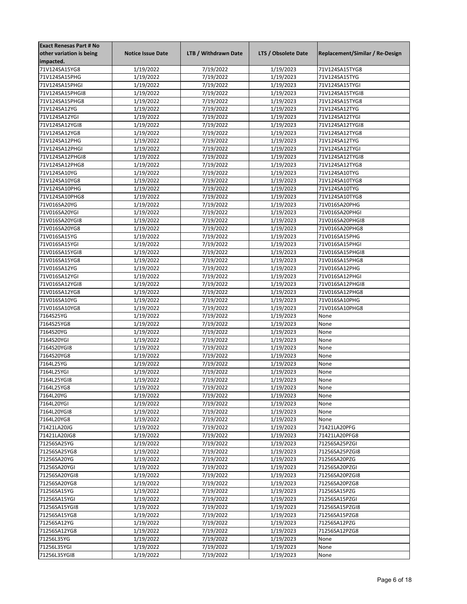| <b>Exact Renesas Part # No</b> |                          |                      |                     |                                 |
|--------------------------------|--------------------------|----------------------|---------------------|---------------------------------|
| other variation is being       | <b>Notice Issue Date</b> | LTB / Withdrawn Date | LTS / Obsolete Date | Replacement/Similar / Re-Design |
| impacted.                      |                          |                      |                     |                                 |
| 71V124SA15YG8                  | 1/19/2022                | 7/19/2022            | 1/19/2023           | 71V124SA15TYG8                  |
| 71V124SA15PHG                  | 1/19/2022                | 7/19/2022            | 1/19/2023           | 71V124SA15TYG                   |
| 71V124SA15PHGI                 | 1/19/2022                | 7/19/2022            | 1/19/2023           | 71V124SA15TYGI                  |
| 71V124SA15PHGI8                | 1/19/2022                | 7/19/2022            | 1/19/2023           | 71V124SA15TYGI8                 |
| 71V124SA15PHG8                 | 1/19/2022                | 7/19/2022            | 1/19/2023           | 71V124SA15TYG8                  |
| 71V124SA12YG                   | 1/19/2022                | 7/19/2022            | 1/19/2023           | 71V124SA12TYG                   |
| 71V124SA12YGI                  | 1/19/2022                | 7/19/2022            | 1/19/2023           | 71V124SA12TYGI                  |
| 71V124SA12YGI8                 |                          |                      | 1/19/2023           | 71V124SA12TYGI8                 |
|                                | 1/19/2022                | 7/19/2022            |                     |                                 |
| 71V124SA12YG8                  | 1/19/2022                | 7/19/2022            | 1/19/2023           | 71V124SA12TYG8                  |
| 71V124SA12PHG                  | 1/19/2022                | 7/19/2022            | 1/19/2023           | 71V124SA12TYG                   |
| 71V124SA12PHGI                 | 1/19/2022                | 7/19/2022            | 1/19/2023           | 71V124SA12TYGI                  |
| 71V124SA12PHGI8                | 1/19/2022                | 7/19/2022            | 1/19/2023           | 71V124SA12TYGI8                 |
| 71V124SA12PHG8                 | 1/19/2022                | 7/19/2022            | 1/19/2023           | 71V124SA12TYG8                  |
| 71V124SA10YG                   | 1/19/2022                | 7/19/2022            | 1/19/2023           | 71V124SA10TYG                   |
| 71V124SA10YG8                  | 1/19/2022                | 7/19/2022            | 1/19/2023           | 71V124SA10TYG8                  |
| 71V124SA10PHG                  | 1/19/2022                | 7/19/2022            | 1/19/2023           | 71V124SA10TYG                   |
| 71V124SA10PHG8                 | 1/19/2022                | 7/19/2022            | 1/19/2023           | 71V124SA10TYG8                  |
| 71V016SA20YG                   | 1/19/2022                | 7/19/2022            | 1/19/2023           | 71V016SA20PHG                   |
| 71V016SA20YGI                  | 1/19/2022                | 7/19/2022            | 1/19/2023           | 71V016SA20PHGI                  |
| 71V016SA20YGI8                 | 1/19/2022                | 7/19/2022            | 1/19/2023           | 71V016SA20PHGI8                 |
| 71V016SA20YG8                  | 1/19/2022                | 7/19/2022            | 1/19/2023           | 71V016SA20PHG8                  |
| 71V016SA15YG                   | 1/19/2022                | 7/19/2022            | 1/19/2023           | 71V016SA15PHG                   |
| 71V016SA15YGI                  | 1/19/2022                | 7/19/2022            | 1/19/2023           | 71V016SA15PHGI                  |
| 71V016SA15YGI8                 | 1/19/2022                | 7/19/2022            | 1/19/2023           | 71V016SA15PHGI8                 |
| 71V016SA15YG8                  | 1/19/2022                | 7/19/2022            | 1/19/2023           | 71V016SA15PHG8                  |
| 71V016SA12YG                   | 1/19/2022                | 7/19/2022            | 1/19/2023           | 71V016SA12PHG                   |
| 71V016SA12YGI                  | 1/19/2022                | 7/19/2022            | 1/19/2023           | 71V016SA12PHGI                  |
| 71V016SA12YGI8                 | 1/19/2022                | 7/19/2022            | 1/19/2023           | 71V016SA12PHGI8                 |
| 71V016SA12YG8                  | 1/19/2022                | 7/19/2022            | 1/19/2023           | 71V016SA12PHG8                  |
|                                |                          |                      |                     |                                 |
| 71V016SA10YG                   | 1/19/2022                | 7/19/2022            | 1/19/2023           | 71V016SA10PHG                   |
| 71V016SA10YG8                  | 1/19/2022                | 7/19/2022            | 1/19/2023           | 71V016SA10PHG8                  |
| 7164S25YG                      | 1/19/2022                | 7/19/2022            | 1/19/2023           | None                            |
| 7164S25YG8                     | 1/19/2022                | 7/19/2022            | 1/19/2023           | None                            |
| 7164S20YG                      | 1/19/2022                | 7/19/2022            | 1/19/2023           | None                            |
| 7164S20YGI                     | 1/19/2022                | 7/19/2022            | 1/19/2023           | None                            |
| 7164S20YGI8                    | 1/19/2022                | 7/19/2022            | 1/19/2023           | None                            |
| 7164S20YG8                     | 1/19/2022                | 7/19/2022            | 1/19/2023           | None                            |
| 7164L25YG                      | 1/19/2022                | 7/19/2022            | 1/19/2023           | None                            |
| 7164L25YGI                     | 1/19/2022                | 7/19/2022            | 1/19/2023           | None                            |
| 7164L25YGI8                    | 1/19/2022                | 7/19/2022            | 1/19/2023           | None                            |
| 7164L25YG8                     | 1/19/2022                | 7/19/2022            | 1/19/2023           | None                            |
| 7164L20YG                      | 1/19/2022                | 7/19/2022            | 1/19/2023           | None                            |
| 7164L20YGI                     | 1/19/2022                | 7/19/2022            | 1/19/2023           | None                            |
| 7164L20YGI8                    | 1/19/2022                | 7/19/2022            | 1/19/2023           | None                            |
| 7164L20YG8                     | 1/19/2022                | 7/19/2022            | 1/19/2023           | None                            |
| 71421LA20JG                    | 1/19/2022                | 7/19/2022            | 1/19/2023           | 71421LA20PFG                    |
| 71421LA20JG8                   | 1/19/2022                | 7/19/2022            | 1/19/2023           | 71421LA20PFG8                   |
| 71256SA25YG                    | 1/19/2022                | 7/19/2022            | 1/19/2023           | 71256SA25PZGI                   |
| 71256SA25YG8                   | 1/19/2022                | 7/19/2022            | 1/19/2023           | 71256SA25PZGI8                  |
| 71256SA20YG                    | 1/19/2022                | 7/19/2022            | 1/19/2023           | 71256SA20PZG                    |
| 71256SA20YGI                   | 1/19/2022                | 7/19/2022            | 1/19/2023           | 71256SA20PZGI                   |
| 71256SA20YGI8                  | 1/19/2022                | 7/19/2022            | 1/19/2023           | 71256SA20PZGI8                  |
|                                |                          |                      |                     |                                 |
| 71256SA20YG8                   | 1/19/2022                | 7/19/2022            | 1/19/2023           | 71256SA20PZG8                   |
| 71256SA15YG                    | 1/19/2022                | 7/19/2022            | 1/19/2023           | 71256SA15PZG                    |
| 71256SA15YGI                   | 1/19/2022                | 7/19/2022            | 1/19/2023           | 71256SA15PZGI                   |
| 71256SA15YGI8                  | 1/19/2022                | 7/19/2022            | 1/19/2023           | 71256SA15PZGI8                  |
| 71256SA15YG8                   | 1/19/2022                | 7/19/2022            | 1/19/2023           | 71256SA15PZG8                   |
| 71256SA12YG                    | 1/19/2022                | 7/19/2022            | 1/19/2023           | 71256SA12PZG                    |
| 71256SA12YG8                   | 1/19/2022                | 7/19/2022            | 1/19/2023           | 71256SA12PZG8                   |
| 71256L35YG                     | 1/19/2022                | 7/19/2022            | 1/19/2023           | None                            |
| 71256L35YGI                    | 1/19/2022                | 7/19/2022            | 1/19/2023           | None                            |
| 71256L35YGI8                   | 1/19/2022                | 7/19/2022            | 1/19/2023           | None                            |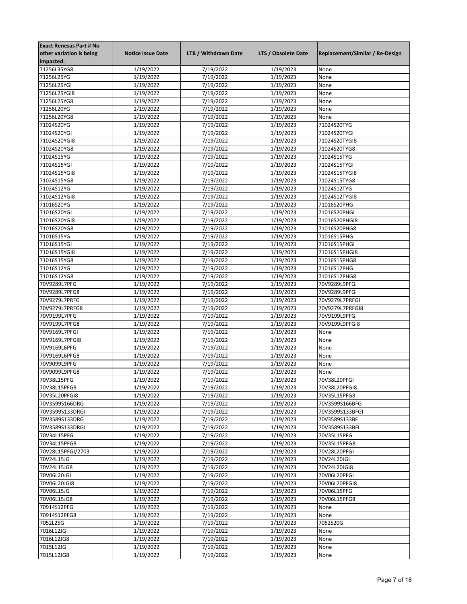| <b>Exact Renesas Part # No</b> |                          |                      |                     |                                 |
|--------------------------------|--------------------------|----------------------|---------------------|---------------------------------|
| other variation is being       | <b>Notice Issue Date</b> | LTB / Withdrawn Date | LTS / Obsolete Date | Replacement/Similar / Re-Design |
| impacted.                      |                          |                      |                     |                                 |
| 71256L35YG8                    | 1/19/2022                | 7/19/2022            | 1/19/2023           | None                            |
| 71256L25YG                     | 1/19/2022                | 7/19/2022            | 1/19/2023           | None                            |
| 71256L25YGI                    | 1/19/2022                | 7/19/2022            | 1/19/2023           | None                            |
| 71256L25YGI8                   | 1/19/2022                | 7/19/2022            | 1/19/2023           | None                            |
| 71256L25YG8                    | 1/19/2022                | 7/19/2022            | 1/19/2023           | None                            |
| 71256L20YG                     | 1/19/2022                | 7/19/2022            | 1/19/2023           | None                            |
| 71256L20YG8                    | 1/19/2022                | 7/19/2022            | 1/19/2023           | None                            |
| 71024S20YG                     | 1/19/2022                | 7/19/2022            | 1/19/2023           | 71024S20TYG                     |
| 71024S20YGI                    | 1/19/2022                | 7/19/2022            | 1/19/2023           | 71024S20TYGI                    |
| 71024S20YGI8                   | 1/19/2022                | 7/19/2022            | 1/19/2023           | 71024S20TYGI8                   |
| 71024S20YG8                    | 1/19/2022                | 7/19/2022            | 1/19/2023           | 71024S20TYG8                    |
| 71024S15YG                     | 1/19/2022                | 7/19/2022            | 1/19/2023           | 71024S15TYG                     |
| 71024S15YGI                    | 1/19/2022                | 7/19/2022            | 1/19/2023           | 71024S15TYGI                    |
| 71024S15YGI8                   | 1/19/2022                | 7/19/2022            | 1/19/2023           | 71024S15TYGI8                   |
| 71024S15YG8                    | 1/19/2022                | 7/19/2022            | 1/19/2023           | 71024S15TYG8                    |
| 71024S12YG                     |                          | 7/19/2022            | 1/19/2023           | 71024S12TYG                     |
|                                | 1/19/2022                |                      |                     |                                 |
| 71024S12YGI8                   | 1/19/2022                | 7/19/2022            | 1/19/2023           | 71024S12TYGI8                   |
| 71016S20YG                     | 1/19/2022                | 7/19/2022            | 1/19/2023           | 71016S20PHG                     |
| 71016S20YGI                    | 1/19/2022                | 7/19/2022            | 1/19/2023           | 71016S20PHGI                    |
| 71016S20YGI8                   | 1/19/2022                | 7/19/2022            | 1/19/2023           | 71016S20PHGI8                   |
| 71016S20YG8                    | 1/19/2022                | 7/19/2022            | 1/19/2023           | 71016S20PHG8                    |
| 71016S15YG                     | 1/19/2022                | 7/19/2022            | 1/19/2023           | 71016S15PHG                     |
| 71016S15YGI                    | 1/19/2022                | 7/19/2022            | 1/19/2023           | 71016S15PHGI                    |
| 71016S15YGI8                   | 1/19/2022                | 7/19/2022            | 1/19/2023           | 71016S15PHGI8                   |
| 71016S15YG8                    | 1/19/2022                | 7/19/2022            | 1/19/2023           | 71016S15PHG8                    |
| 71016S12YG                     | 1/19/2022                | 7/19/2022            | 1/19/2023           | 71016S12PHG                     |
| 71016S12YG8                    | 1/19/2022                | 7/19/2022            | 1/19/2023           | 71016S12PHG8                    |
| 70V9289L7PFG                   | 1/19/2022                | 7/19/2022            | 1/19/2023           | 70V9289L9PFGI                   |
| 70V9289L7PFG8                  | 1/19/2022                | 7/19/2022            | 1/19/2023           | 70V9289L9PFGI                   |
| 70V9279L7PRFG                  | 1/19/2022                | 7/19/2022            | 1/19/2023           | 70V9279L7PRFGI                  |
| 70V9279L7PRFG8                 | 1/19/2022                | 7/19/2022            | 1/19/2023           | 70V9279L7PRFGI8                 |
| 70V9199L7PFG                   | 1/19/2022                | 7/19/2022            | 1/19/2023           | 70V9199L9PFGI                   |
| 70V9199L7PFG8                  | 1/19/2022                | 7/19/2022            | 1/19/2023           | 70V9199L9PFGI8                  |
| 70V9169L7PFGI                  | 1/19/2022                | 7/19/2022            | 1/19/2023           | None                            |
| 70V9169L7PFGI8                 | 1/19/2022                | 7/19/2022            | 1/19/2023           | None                            |
| 70V9169L6PFG                   | 1/19/2022                | 7/19/2022            | 1/19/2023           | None                            |
| 70V9169L6PFG8                  | 1/19/2022                | 7/19/2022            | 1/19/2023           | None                            |
| 70V9099L9PFG                   | 1/19/2022                | 7/19/2022            | 1/19/2023           | None                            |
| 70V9099L9PFG8                  | 1/19/2022                | 7/19/2022            | 1/19/2023           | None                            |
| 70V38L15PFG                    | 1/19/2022                | 7/19/2022            | 1/19/2023           | 70V38L20PFGI                    |
| 70V38L15PFG8                   | 1/19/2022                | 7/19/2022            | 1/19/2023           | 70V38L20PFGI8                   |
| 70V35L20PFGI8                  | 1/19/2022                | 7/19/2022            | 1/19/2023           | 70V35L15PFG8                    |
| 70V3599S166DRG                 | 1/19/2022                | 7/19/2022            | 1/19/2023           | 70V3599S166BFG                  |
| 70V3599S133DRGI                | 1/19/2022                | 7/19/2022            | 1/19/2023           | 70V3599S133BFGI                 |
| 70V3589S133DRG                 | 1/19/2022                | 7/19/2022            | 1/19/2023           | 70V3589S133BF                   |
| 70V3589S133DRGI                | 1/19/2022                | 7/19/2022            | 1/19/2023           | 70V3589S133BFI                  |
| 70V34L15PFG                    | 1/19/2022                | 7/19/2022            | 1/19/2023           | 70V35L15PFG                     |
| 70V34L15PFG8                   | 1/19/2022                | 7/19/2022            | 1/19/2023           |                                 |
| 70V28L15PFGI/2703              | 1/19/2022                | 7/19/2022            | 1/19/2023           | 70V35L15PFG8<br>70V28L20PFGI    |
| 70V24L15JG                     |                          |                      |                     | 70V24L20JGI                     |
|                                | 1/19/2022                | 7/19/2022            | 1/19/2023           |                                 |
| 70V24L15JG8                    | 1/19/2022                | 7/19/2022            | 1/19/2023           | 70V24L20JGI8                    |
| 70V06L20JGI                    | 1/19/2022                | 7/19/2022            | 1/19/2023           | 70V06L20PFGI                    |
| 70V06L20JGI8                   | 1/19/2022                | 7/19/2022            | 1/19/2023           | 70V06L20PFGI8                   |
| 70V06L15JG                     | 1/19/2022                | 7/19/2022            | 1/19/2023           | 70V06L15PFG                     |
| 70V06L15JG8                    | 1/19/2022                | 7/19/2022            | 1/19/2023           | 70V06L15PFG8                    |
| 70914S12PFG                    | 1/19/2022                | 7/19/2022            | 1/19/2023           | None                            |
| 70914S12PFG8                   | 1/19/2022                | 7/19/2022            | 1/19/2023           | None                            |
| 7052L25G                       | 1/19/2022                | 7/19/2022            | 1/19/2023           | 7052S20G                        |
| 7016L12JG                      | 1/19/2022                | 7/19/2022            | 1/19/2023           | None                            |
| 7016L12JG8                     | 1/19/2022                | 7/19/2022            | 1/19/2023           | None                            |
| 7015L12JG                      | 1/19/2022                | 7/19/2022            | 1/19/2023           | None                            |
| 7015L12JG8                     | 1/19/2022                | 7/19/2022            | 1/19/2023           | None                            |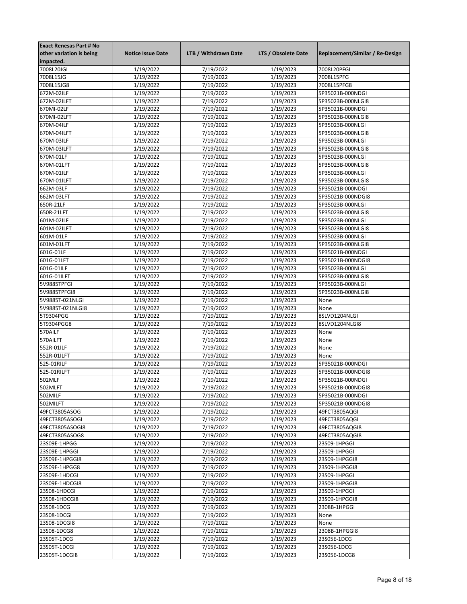| <b>Exact Renesas Part # No</b> |                          |                      |                        |                                 |
|--------------------------------|--------------------------|----------------------|------------------------|---------------------------------|
| other variation is being       | <b>Notice Issue Date</b> | LTB / Withdrawn Date | LTS / Obsolete Date    | Replacement/Similar / Re-Design |
| impacted.                      |                          |                      |                        |                                 |
| 7008L20JGI                     | 1/19/2022                | 7/19/2022            | 1/19/2023              | 7008L20PFGI                     |
| 7008L15JG                      | 1/19/2022                | 7/19/2022            | 1/19/2023              | 7008L15PFG                      |
| 7008L15JG8                     | 1/19/2022                | 7/19/2022            | 1/19/2023              | 7008L15PFG8                     |
| 672M-02ILF                     | 1/19/2022                | 7/19/2022            | 1/19/2023              | 5P35021B-000NDGI                |
| 672M-02ILFT                    | 1/19/2022                | 7/19/2022            | 1/19/2023              | 5P35023B-000NLGI8               |
| 670MI-02LF                     | 1/19/2022                | 7/19/2022            | 1/19/2023              | 5P35021B-000NDGI                |
| 670MI-02LFT                    | 1/19/2022                | 7/19/2022            | 1/19/2023              | 5P35023B-000NLGI8               |
| 670M-04ILF                     |                          |                      |                        | 5P35023B-000NLGI                |
|                                | 1/19/2022                | 7/19/2022            | 1/19/2023              |                                 |
| 670M-04ILFT                    | 1/19/2022                | 7/19/2022            | 1/19/2023              | 5P35023B-000NLGI8               |
| 670M-03ILF                     | 1/19/2022                | 7/19/2022            | 1/19/2023              | 5P35023B-000NLGI                |
| 670M-03ILFT                    | 1/19/2022                | 7/19/2022            | 1/19/2023              | 5P35023B-000NLGI8               |
| 670M-01LF                      | 1/19/2022                | 7/19/2022            | 1/19/2023              | 5P35023B-000NLGI                |
| 670M-01LFT                     | 1/19/2022                | 7/19/2022            | 1/19/2023              | 5P35023B-000NLGI8               |
| 670M-01ILF                     | 1/19/2022                | 7/19/2022            | 1/19/2023              | 5P35023B-000NLGI                |
| 670M-01ILFT                    | 1/19/2022                | 7/19/2022            | 1/19/2023              | 5P35023B-000NLGI8               |
| 662M-03LF                      | 1/19/2022                | 7/19/2022            | 1/19/2023              | 5P35021B-000NDGI                |
| 662M-03LFT                     | 1/19/2022                | 7/19/2022            | 1/19/2023              | 5P35021B-000NDGI8               |
| 650R-21LF                      | 1/19/2022                | 7/19/2022            | 1/19/2023              | 5P35023B-000NLGI                |
| 650R-21LFT                     | 1/19/2022                | 7/19/2022            | 1/19/2023              | 5P35023B-000NLGI8               |
| 601M-02ILF                     | 1/19/2022                | 7/19/2022            | 1/19/2023              | 5P35023B-000NLGI                |
| 601M-02ILFT                    | 1/19/2022                | 7/19/2022            | 1/19/2023              | 5P35023B-000NLGI8               |
| 601M-01LF                      | 1/19/2022                | 7/19/2022            | 1/19/2023              | 5P35023B-000NLGI                |
| 601M-01LFT                     | 1/19/2022                | 7/19/2022            | 1/19/2023              | 5P35023B-000NLGI8               |
| 601G-01LF                      | 1/19/2022                | 7/19/2022            | 1/19/2023              | 5P35021B-000NDGI                |
| 601G-01LFT                     | 1/19/2022                | 7/19/2022            | 1/19/2023              | 5P35021B-000NDGI8               |
| 601G-01ILF                     | 1/19/2022                | 7/19/2022            | 1/19/2023              | 5P35023B-000NLGI                |
| 601G-01ILFT                    | 1/19/2022                | 7/19/2022            | 1/19/2023              | 5P35023B-000NLGI8               |
| 5V9885TPFGI                    | 1/19/2022                | 7/19/2022            | 1/19/2023              | 5P35023B-000NLGI                |
| 5V9885TPFGI8                   | 1/19/2022                | 7/19/2022            | 1/19/2023              | 5P35023B-000NLGI8               |
| 5V9885T-021NLGI                | 1/19/2022                | 7/19/2022            | $\frac{1}{1}$ /19/2023 | None                            |
| 5V9885T-021NLGI8               | 1/19/2022                | 7/19/2022            | 1/19/2023              | None                            |
|                                |                          |                      |                        |                                 |
| 5T9304PGG                      | 1/19/2022                | 7/19/2022            | 1/19/2023              | 8SLVD1204NLGI                   |
| 5T9304PGG8                     | 1/19/2022                | 7/19/2022            | 1/19/2023              | 8SLVD1204NLGI8                  |
| 570AILF                        | 1/19/2022                | 7/19/2022            | 1/19/2023              | None                            |
| 570AILFT                       | 1/19/2022                | 7/19/2022            | 1/19/2023              | None                            |
| 552R-01ILF                     | 1/19/2022                | 7/19/2022            | 1/19/2023              | None                            |
| 552R-01ILFT                    | 1/19/2022                | 7/19/2022            | 1/19/2023              | None                            |
| 525-01RILF                     | 1/19/2022                | 7/19/2022            | 1/19/2023              | 5P35021B-000NDGI                |
| 525-01RILFT                    | 1/19/2022                | 7/19/2022            | 1/19/2023              | 5P35021B-000NDGI8               |
| 502MLF                         | 1/19/2022                | 7/19/2022            | 1/19/2023              | 5P35021B-000NDGI                |
| 502MLFT                        | 1/19/2022                | 7/19/2022            | 1/19/2023              | 5P35021B-000NDGI8               |
| 502MILF                        | 1/19/2022                | 7/19/2022            | 1/19/2023              | 5P35021B-000NDGI                |
| 502MILFT                       | 1/19/2022                | 7/19/2022            | 1/19/2023              | 5P35021B-000NDGI8               |
| 49FCT3805ASOG                  | 1/19/2022                | 7/19/2022            | 1/19/2023              | 49FCT3805AQGI                   |
| 49FCT3805ASOGI                 | 1/19/2022                | 7/19/2022            | 1/19/2023              | 49FCT3805AQGI                   |
| 49FCT3805ASOGI8                | 1/19/2022                | 7/19/2022            | 1/19/2023              | 49FCT3805AQGI8                  |
| 49FCT3805ASOG8                 | 1/19/2022                | 7/19/2022            | 1/19/2023              | 49FCT3805AQGI8                  |
| 23S09E-1HPGG                   | 1/19/2022                | 7/19/2022            | 1/19/2023              | 23S09-1HPGGI                    |
| 23S09E-1HPGGI                  | 1/19/2022                | 7/19/2022            | 1/19/2023              | 23S09-1HPGGI                    |
| 23S09E-1HPGGI8                 | 1/19/2022                | 7/19/2022            | 1/19/2023              | 23S09-1HPGGI8                   |
| 23S09E-1HPGG8                  | 1/19/2022                | 7/19/2022            | 1/19/2023              | 23S09-1HPGGI8                   |
| 23S09E-1HDCGI                  | 1/19/2022                | 7/19/2022            | 1/19/2023              | 23S09-1HPGGI                    |
|                                |                          | 7/19/2022            |                        |                                 |
| 23S09E-1HDCGI8                 | 1/19/2022                |                      | 1/19/2023              | 23S09-1HPGGI8                   |
| 23S08-1HDCGI                   | 1/19/2022                | 7/19/2022            | 1/19/2023              | 23S09-1HPGGI                    |
| 23S08-1HDCGI8                  | 1/19/2022                | 7/19/2022            | 1/19/2023              | 23S09-1HPGGI8                   |
| 23S08-1DCG                     | 1/19/2022                | 7/19/2022            | 1/19/2023              | 2308B-1HPGGI                    |
| 23S08-1DCGI                    | 1/19/2022                | 7/19/2022            | 1/19/2023              | None                            |
| 23S08-1DCGI8                   | 1/19/2022                | 7/19/2022            | 1/19/2023              | None                            |
| 23S08-1DCG8                    | 1/19/2022                | 7/19/2022            | 1/19/2023              | 2308B-1HPGGI8                   |
| 23S05T-1DCG                    | 1/19/2022                | 7/19/2022            | 1/19/2023              | 23S05E-1DCG                     |
| 23S05T-1DCGI                   | 1/19/2022                | 7/19/2022            | 1/19/2023              | 23S05E-1DCG                     |
| 23S05T-1DCGI8                  | 1/19/2022                | 7/19/2022            | 1/19/2023              | 23S05E-1DCG8                    |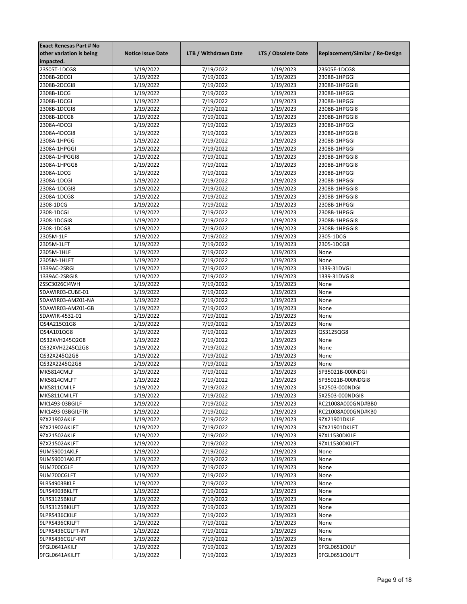| <b>Exact Renesas Part # No</b> |                          |                      |                        |                                 |
|--------------------------------|--------------------------|----------------------|------------------------|---------------------------------|
| other variation is being       | <b>Notice Issue Date</b> | LTB / Withdrawn Date | LTS / Obsolete Date    | Replacement/Similar / Re-Design |
| impacted.                      |                          |                      |                        |                                 |
| 23S05T-1DCG8                   | 1/19/2022                | 7/19/2022            | 1/19/2023              | 23S05E-1DCG8                    |
| 2308B-2DCGI                    | 1/19/2022                | 7/19/2022            | 1/19/2023              | 2308B-1HPGGI                    |
| 2308B-2DCGI8                   | 1/19/2022                | 7/19/2022            | 1/19/2023              | 2308B-1HPGGI8                   |
| 2308B-1DCG                     | 1/19/2022                | 7/19/2022            | 1/19/2023              | 2308B-1HPGGI                    |
| 2308B-1DCGI                    | 1/19/2022                | 7/19/2022            | 1/19/2023              | 2308B-1HPGGI                    |
| 2308B-1DCGI8                   | 1/19/2022                | 7/19/2022            | 1/19/2023              | 2308B-1HPGGI8                   |
| 2308B-1DCG8                    | 1/19/2022                | 7/19/2022            | 1/19/2023              | 2308B-1HPGGI8                   |
| 2308A-4DCGI                    | 1/19/2022                | 7/19/2022            | 1/19/2023              | 2308B-1HPGGI                    |
|                                |                          |                      |                        |                                 |
| 2308A-4DCGI8                   | 1/19/2022                | 7/19/2022            | 1/19/2023              | 2308B-1HPGGI8                   |
| 2308A-1HPGG                    | 1/19/2022                | 7/19/2022            | 1/19/2023              | 2308B-1HPGGI                    |
| 2308A-1HPGGI                   | 1/19/2022                | 7/19/2022            | 1/19/2023              | 2308B-1HPGGI                    |
| 2308A-1HPGGI8                  | 1/19/2022                | 7/19/2022            | 1/19/2023              | 2308B-1HPGGI8                   |
| 2308A-1HPGG8                   | 1/19/2022                | 7/19/2022            | 1/19/2023              | 2308B-1HPGGI8                   |
| 2308A-1DCG                     | 1/19/2022                | 7/19/2022            | 1/19/2023              | 2308B-1HPGGI                    |
| 2308A-1DCGI                    | 1/19/2022                | 7/19/2022            | 1/19/2023              | 2308B-1HPGGI                    |
| 2308A-1DCGI8                   | 1/19/2022                | 7/19/2022            | 1/19/2023              | 2308B-1HPGGI8                   |
| 2308A-1DCG8                    | 1/19/2022                | 7/19/2022            | 1/19/2023              | 2308B-1HPGGI8                   |
| 2308-1DCG                      | 1/19/2022                | 7/19/2022            | 1/19/2023              | 2308B-1HPGGI                    |
| 2308-1DCGI                     | 1/19/2022                | 7/19/2022            | 1/19/2023              | 2308B-1HPGGI                    |
| 2308-1DCGI8                    | 1/19/2022                | 7/19/2022            | 1/19/2023              | 2308B-1HPGGI8                   |
| 2308-1DCG8                     | 1/19/2022                | 7/19/2022            | 1/19/2023              | 2308B-1HPGGI8                   |
| 2305M-1LF                      | 1/19/2022                | 7/19/2022            | 1/19/2023              | 2305-1DCG                       |
| 2305M-1LFT                     | 1/19/2022                | 7/19/2022            | 1/19/2023              | 2305-1DCG8                      |
| 2305M-1HLF                     | 1/19/2022                | 7/19/2022            | 1/19/2023              | None                            |
| 2305M-1HLFT                    | 1/19/2022                | 7/19/2022            | 1/19/2023              | None                            |
| 1339AC-2SRGI                   | 1/19/2022                | 7/19/2022            | $\frac{1}{1}$ /19/2023 | 1339-31DVGI                     |
| 1339AC-2SRGI8                  | 1/19/2022                | 7/19/2022            | 1/19/2023              | 1339-31DVGI8                    |
| ZSSC3026CI4WH                  | 1/19/2022                | 7/19/2022            | 1/19/2023              | None                            |
| SDAWIR03-CUBE-01               | 1/19/2022                | 7/19/2022            | 1/19/2023              | None                            |
|                                |                          |                      |                        |                                 |
| SDAWIR03-AMZ01-NA              | 1/19/2022                | 7/19/2022            | 1/19/2023              | None                            |
| SDAWIR03-AMZ01-GB              | 1/19/2022                | 7/19/2022            | 1/19/2023              | None                            |
| SDAWIR-4532-01                 | 1/19/2022                | 7/19/2022            | 1/19/2023              | None                            |
| QS4A215Q1G8                    | 1/19/2022                | 7/19/2022            | 1/19/2023              | None                            |
| QS4A101QG8                     | 1/19/2022                | 7/19/2022            | 1/19/2023              | QS3125QG8                       |
| QS32XVH245Q2G8                 | 1/19/2022                | 7/19/2022            | 1/19/2023              | None                            |
| QS32XVH2245Q2G8                | 1/19/2022                | 7/19/2022            | 1/19/2023              | None                            |
| QS32X245Q2G8                   | 1/19/2022                | 7/19/2022            | 1/19/2023              | None                            |
| QS32X2245Q2G8                  | 1/19/2022                | 7/19/2022            | 1/19/2023              | None                            |
| MK5814CMLF                     | 1/19/2022                | 7/19/2022            | 1/19/2023              | 5P35021B-000NDGI                |
| MK5814CMLFT                    | 1/19/2022                | 7/19/2022            | 1/19/2023              | 5P35021B-000NDGI8               |
| MK5811CMILF                    | 1/19/2022                | 7/19/2022            | 1/19/2023              | 5X2503-000NDGI                  |
| MK5811CMILFT                   | 1/19/2022                | 7/19/2022            | 1/19/2023              | 5X2503-000NDGI8                 |
| MK1493-03BGILF                 | 1/19/2022                | 7/19/2022            | 1/19/2023              | RC21008A000GND#BB0              |
| MK1493-03BGILFTR               | 1/19/2022                | 7/19/2022            | 1/19/2023              | RC21008A000GND#KB0              |
| 9ZX21902AKLF                   | 1/19/2022                | 7/19/2022            | 1/19/2023              | 9ZX21901DKLF                    |
| 9ZX21902AKLFT                  | 1/19/2022                | 7/19/2022            | 1/19/2023              | 9ZX21901DKLFT                   |
| 9ZX21502AKLF                   | 1/19/2022                | 7/19/2022            | 1/19/2023              | 9ZXL1530DKILF                   |
| 9ZX21502AKLFT                  | 1/19/2022                | 7/19/2022            | 1/19/2023              | 9ZXL1530DKILFT                  |
| 9UMS9001AKLF                   | 1/19/2022                | 7/19/2022            | 1/19/2023              | None                            |
| 9UMS9001AKLFT                  | 1/19/2022                | 7/19/2022            | 1/19/2023              | None                            |
| 9UM700CGLF                     | 1/19/2022                | 7/19/2022            | 1/19/2023              | None                            |
| 9UM700CGLFT                    | 1/19/2022                | 7/19/2022            | 1/19/2023              | None                            |
|                                |                          |                      |                        |                                 |
| 9LRS4903BKLF                   | 1/19/2022                | 7/19/2022            | 1/19/2023              | None                            |
| 9LRS4903BKLFT                  | 1/19/2022                | 7/19/2022            | 1/19/2023              | None                            |
| 9LRS3125BKILF                  | 1/19/2022                | 7/19/2022            | 1/19/2023              | None                            |
| 9LRS3125BKILFT                 | 1/19/2022                | 7/19/2022            | 1/19/2023              | None                            |
| 9LPRS436CKILF                  | 1/19/2022                | 7/19/2022            | 1/19/2023              | None                            |
| 9LPRS436CKILFT                 | 1/19/2022                | 7/19/2022            | 1/19/2023              | None                            |
| 9LPRS436CGLFT-INT              | 1/19/2022                | 7/19/2022            | 1/19/2023              | None                            |
| 9LPRS436CGLF-INT               | 1/19/2022                | 7/19/2022            | 1/19/2023              | None                            |
| 9FGL0641AKILF                  | 1/19/2022                | 7/19/2022            | 1/19/2023              | 9FGL0651CKILF                   |
| 9FGL0641AKILFT                 | 1/19/2022                | 7/19/2022            | 1/19/2023              | 9FGL0651CKILFT                  |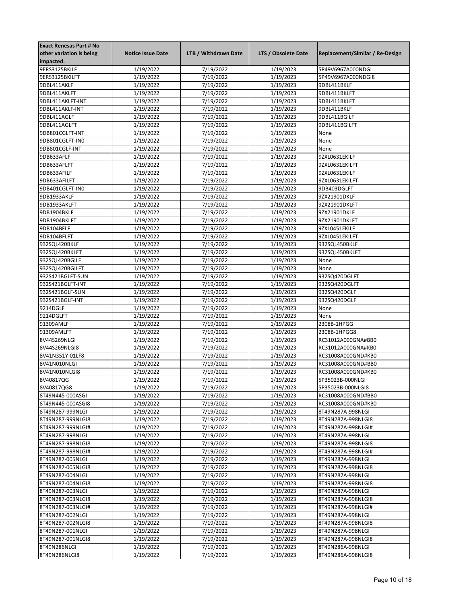| <b>Exact Renesas Part # No</b> |                          |                      |                     |                                 |
|--------------------------------|--------------------------|----------------------|---------------------|---------------------------------|
| other variation is being       | <b>Notice Issue Date</b> | LTB / Withdrawn Date | LTS / Obsolete Date | Replacement/Similar / Re-Design |
| impacted.                      |                          |                      |                     |                                 |
| 9ERS3125BKILF                  | 1/19/2022                | 7/19/2022            | 1/19/2023           | 5P49V6967A000NDGI               |
| 9ERS3125BKILFT                 | 1/19/2022                | 7/19/2022            | 1/19/2023           | 5P49V6967A000NDGI8              |
| 9DBL411AKLF                    | 1/19/2022                | 7/19/2022            | 1/19/2023           | 9DBL411BKLF                     |
| 9DBL411AKLFT                   | 1/19/2022                | 7/19/2022            | 1/19/2023           | 9DBL411BKLFT                    |
| 9DBL411AKLFT-INT               | 1/19/2022                | 7/19/2022            | 1/19/2023           | 9DBL411BKLFT                    |
| 9DBL411AKLF-INT                | 1/19/2022                | 7/19/2022            | 1/19/2023           | 9DBL411BKLF                     |
| 9DBL411AGLF                    | 1/19/2022                | 7/19/2022            | 1/19/2023           | 9DBL411BGILF                    |
| 9DBL411AGLFT                   |                          |                      | 1/19/2023           | 9DBL411BGILFT                   |
|                                | 1/19/2022                | 7/19/2022            |                     |                                 |
| 9DB801CGLFT-INT                | 1/19/2022                | 7/19/2022            | 1/19/2023           | None                            |
| 9DB801CGLFT-IN0                | 1/19/2022                | 7/19/2022            | 1/19/2023           | None                            |
| 9DB801CGLF-INT                 | 1/19/2022                | 7/19/2022            | 1/19/2023           | None                            |
| 9DB633AFLF                     | 1/19/2022                | 7/19/2022            | 1/19/2023           | 9ZXL0631EKILF                   |
| 9DB633AFLFT                    | 1/19/2022                | 7/19/2022            | 1/19/2023           | 9ZXL0631EKILFT                  |
| 9DB633AFILF                    | 1/19/2022                | 7/19/2022            | 1/19/2023           | 9ZXL0631EKILF                   |
| 9DB633AFILFT                   | 1/19/2022                | 7/19/2022            | 1/19/2023           | 9ZXL0631EKILFT                  |
| 9DB401CGLFT-IN0                | 1/19/2022                | 7/19/2022            | 1/19/2023           | 9DB403DGLFT                     |
| 9DB1933AKLF                    | 1/19/2022                | 7/19/2022            | 1/19/2023           | 9ZX21901DKLF                    |
| 9DB1933AKLFT                   | 1/19/2022                | 7/19/2022            | 1/19/2023           | 9ZX21901DKLFT                   |
| 9DB1904BKLF                    | 1/19/2022                | 7/19/2022            | 1/19/2023           | 9ZX21901DKLF                    |
| 9DB1904BKLFT                   | 1/19/2022                | 7/19/2022            | 1/19/2023           | 9ZX21901DKLFT                   |
| 9DB104BFLF                     | 1/19/2022                | 7/19/2022            | 1/19/2023           | 9ZXL0451EKILF                   |
| 9DB104BFLFT                    | 1/19/2022                | 7/19/2022            | 1/19/2023           | 9ZXL0451EKILFT                  |
| 932SQL420BKLF                  | 1/19/2022                | 7/19/2022            | 1/19/2023           | 932SQL450BKLF                   |
| 932SQL420BKLFT                 | 1/19/2022                | 7/19/2022            | 1/19/2023           | 932SQL450BKLFT                  |
| 932SQL420BGILF                 | 1/19/2022                | 7/19/2022            | 1/19/2023           | None                            |
| 932SQL420BGILFT                | 1/19/2022                | 7/19/2022            | 1/19/2023           | None                            |
| 932S421BGLFT-SUN               | 1/19/2022                | 7/19/2022            | 1/19/2023           | 932SQ420DGLFT                   |
| 932S421BGLFT-INT               | 1/19/2022                | 7/19/2022            | 1/19/2023           | 932SQ420DGLFT                   |
| 932S421BGLF-SUN                | 1/19/2022                | 7/19/2022            | 1/19/2023           | 932SQ420DGLF                    |
|                                |                          |                      |                     |                                 |
| 932S421BGLF-INT                | 1/19/2022                | 7/19/2022            | 1/19/2023           | 932SQ420DGLF                    |
| 9214DGLF                       | 1/19/2022                | 7/19/2022            | 1/19/2023           | None                            |
| 9214DGLFT                      | 1/19/2022                | 7/19/2022            | 1/19/2023           | None                            |
| 91309AMLF                      | 1/19/2022                | 7/19/2022            | 1/19/2023           | 2308B-1HPGG                     |
| 91309AMLFT                     | 1/19/2022                | 7/19/2022            | 1/19/2023           | 2308B-1HPGG8                    |
| 8V44S269NLGI                   | 1/19/2022                | 7/19/2022            | 1/19/2023           | RC31012A000GNA#BB0              |
| 8V44S269NLGI8                  | 1/19/2022                | 7/19/2022            | 1/19/2023           | RC31012A000GNA#KB0              |
| 8V41N351Y-01LF8                | 1/19/2022                | 7/19/2022            | 1/19/2023           | RC31008A000GND#KB0              |
| 8V41N010NLGI                   | 1/19/2022                | 7/19/2022            | 1/19/2023           | RC31008A000GND#BB0              |
| 8V41N010NLGI8                  | 1/19/2022                | 7/19/2022            | 1/19/2023           | RC31008A000GND#KB0              |
| 8V40817QG                      | 1/19/2022                | 7/19/2022            | 1/19/2023           | 5P35023B-000NLGI                |
| 8V40817QG8                     | 1/19/2022                | 7/19/2022            | 1/19/2023           | 5P35023B-000NLGI8               |
| 8T49N445-000ASGI               | 1/19/2022                | 7/19/2022            | 1/19/2023           | RC31008A000GND#BB0              |
| 8T49N445-000ASGI8              | 1/19/2022                | 7/19/2022            | 1/19/2023           | RC31008A000GND#KB0              |
| 8T49N287-999NLGI               | 1/19/2022                | 7/19/2022            | 1/19/2023           | 8T49N287A-998NLGI               |
| 8T49N287-999NLGI8              | 1/19/2022                | 7/19/2022            | 1/19/2023           | 8T49N287A-998NLGI8              |
| 8T49N287-999NLGI#              | 1/19/2022                | 7/19/2022            | 1/19/2023           | 8T49N287A-998NLGI#              |
| 8T49N287-998NLGI               | 1/19/2022                | 7/19/2022            | 1/19/2023           | 8T49N287A-998NLGI               |
| 8T49N287-998NLGI8              | 1/19/2022                | 7/19/2022            | 1/19/2023           | 8T49N287A-998NLGI8              |
| 8T49N287-998NLGI#              | 1/19/2022                | 7/19/2022            | 1/19/2023           | 8T49N287A-998NLGI#              |
| 8T49N287-005NLGI               | 1/19/2022                | 7/19/2022            | 1/19/2023           | 8T49N287A-998NLGI               |
| 8T49N287-005NLGI8              | 1/19/2022                | 7/19/2022            | 1/19/2023           | 8T49N287A-998NLGI8              |
| 8T49N287-004NLGI               | 1/19/2022                | 7/19/2022            | 1/19/2023           |                                 |
|                                |                          |                      |                     | 8T49N287A-998NLGI               |
| 8T49N287-004NLGI8              | 1/19/2022                | 7/19/2022            | 1/19/2023           | 8T49N287A-998NLGI8              |
| 8T49N287-003NLGI               | 1/19/2022                | 7/19/2022            | 1/19/2023           | 8T49N287A-998NLGI               |
| 8T49N287-003NLGI8              | 1/19/2022                | 7/19/2022            | 1/19/2023           | 8T49N287A-998NLGI8              |
| 8T49N287-003NLGI#              | 1/19/2022                | 7/19/2022            | 1/19/2023           | 8T49N287A-998NLGI#              |
| 8T49N287-002NLGI               | 1/19/2022                | 7/19/2022            | 1/19/2023           | 8T49N287A-998NLGI               |
| 8T49N287-002NLGI8              | 1/19/2022                | 7/19/2022            | 1/19/2023           | 8T49N287A-998NLGI8              |
| 8T49N287-001NLGI               | 1/19/2022                | 7/19/2022            | 1/19/2023           | 8T49N287A-998NLGI               |
| 8T49N287-001NLGI8              | 1/19/2022                | 7/19/2022            | 1/19/2023           | 8T49N287A-998NLGI8              |
| 8T49N286NLGI                   | 1/19/2022                | 7/19/2022            | 1/19/2023           | 8T49N286A-998NLGI               |
| 8T49N286NLGI8                  | 1/19/2022                | 7/19/2022            | 1/19/2023           | 8T49N286A-998NLGI8              |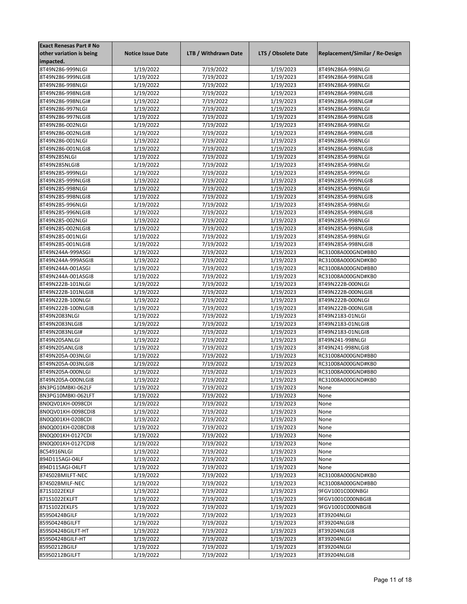| <b>Exact Renesas Part # No</b>        |                          |                      |                        |                                 |
|---------------------------------------|--------------------------|----------------------|------------------------|---------------------------------|
| other variation is being              | <b>Notice Issue Date</b> | LTB / Withdrawn Date | LTS / Obsolete Date    | Replacement/Similar / Re-Design |
| impacted.                             |                          |                      |                        |                                 |
| 8T49N286-999NLGI                      | 1/19/2022                | 7/19/2022            | 1/19/2023              | 8T49N286A-998NLGI               |
| 8T49N286-999NLGI8                     | 1/19/2022                | 7/19/2022            | 1/19/2023              | 8T49N286A-998NLGI8              |
| 8T49N286-998NLGI                      | 1/19/2022                | 7/19/2022            | 1/19/2023              | 8T49N286A-998NLGI               |
| 8T49N286-998NLGI8                     | 1/19/2022                | 7/19/2022            | 1/19/2023              | 8T49N286A-998NLGI8              |
| 8T49N286-998NLGI#                     | 1/19/2022                | 7/19/2022            | 1/19/2023              | 8T49N286A-998NLGI#              |
| 8T49N286-997NLGI                      | 1/19/2022                | 7/19/2022            | 1/19/2023              | 8T49N286A-998NLGI               |
| 8T49N286-997NLGI8                     | 1/19/2022                | 7/19/2022            | 1/19/2023              | 8T49N286A-998NLGI8              |
| 8T49N286-002NLGI                      | 1/19/2022                | 7/19/2022            | 1/19/2023              | 8T49N286A-998NLGI               |
| 8T49N286-002NLGI8                     | 1/19/2022                | 7/19/2022            | 1/19/2023              | 8T49N286A-998NLGI8              |
| 8T49N286-001NLGI                      | 1/19/2022                | 7/19/2022            | 1/19/2023              | 8T49N286A-998NLGI               |
| 8T49N286-001NLGI8                     | 1/19/2022                | 7/19/2022            | 1/19/2023              | 8T49N286A-998NLGI8              |
| 8T49N285NLGI                          | 1/19/2022                | 7/19/2022            | 1/19/2023              | 8T49N285A-998NLGI               |
| 8T49N285NLGI8                         | 1/19/2022                | 7/19/2022            | 1/19/2023              | 8T49N285A-998NLGI               |
| 8T49N285-999NLGI                      | 1/19/2022                | 7/19/2022            | 1/19/2023              | 8T49N285A-999NLGI               |
| 8T49N285-999NLGI8                     | 1/19/2022                | 7/19/2022            | 1/19/2023              | 8T49N285A-999NLGI8              |
| 8T49N285-998NLGI                      | 1/19/2022                | 7/19/2022            | 1/19/2023              | 8T49N285A-998NLGI               |
| 8T49N285-998NLGI8                     | 1/19/2022                | 7/19/2022            | 1/19/2023              | 8T49N285A-998NLGI8              |
| 8T49N285-996NLGI                      | 1/19/2022                | 7/19/2022            | 1/19/2023              | 8T49N285A-998NLGI               |
| 8T49N285-996NLGI8                     | 1/19/2022                | 7/19/2022            | $\frac{1}{1}$ /19/2023 | 8T49N285A-998NLGI8              |
| 8T49N285-002NLGI                      | 1/19/2022                | 7/19/2022            | 1/19/2023              | 8T49N285A-998NLGI               |
| 8T49N285-002NLGI8                     |                          | 7/19/2022            | 1/19/2023              | 8T49N285A-998NLGI8              |
|                                       | 1/19/2022                |                      |                        | 8T49N285A-998NLGI               |
| 8T49N285-001NLGI<br>8T49N285-001NLGI8 | 1/19/2022                | 7/19/2022            | 1/19/2023              |                                 |
|                                       | 1/19/2022                | 7/19/2022            | 1/19/2023              | 8T49N285A-998NLGI8              |
| 8T49N244A-999ASGI                     | 1/19/2022                | 7/19/2022            | 1/19/2023              | RC31008A000GND#BB0              |
| 8T49N244A-999ASGI8                    | 1/19/2022                | 7/19/2022            | 1/19/2023              | RC31008A000GND#KB0              |
| 8T49N244A-001ASGI                     | 1/19/2022                | 7/19/2022            | 1/19/2023              | RC31008A000GND#BB0              |
| 8T49N244A-001ASGI8                    | 1/19/2022                | 7/19/2022            | 1/19/2023              | RC31008A000GND#KB0              |
| 8T49N222B-101NLGI                     | 1/19/2022                | 7/19/2022            | 1/19/2023              | 8T49N222B-000NLGI               |
| 8T49N222B-101NLGI8                    | 1/19/2022                | 7/19/2022            | 1/19/2023              | 8T49N222B-000NLGI8              |
| 8T49N222B-100NLGI                     | 1/19/2022                | 7/19/2022            | 1/19/2023              | 8T49N222B-000NLGI               |
| 8T49N222B-100NLGI8                    | 1/19/2022                | 7/19/2022            | 1/19/2023              | 8T49N222B-000NLGI8              |
| 8T49N2083NLGI                         | 1/19/2022                | 7/19/2022            | 1/19/2023              | 8T49N2183-01NLGI                |
| 8T49N2083NLGI8                        | 1/19/2022                | 7/19/2022            | 1/19/2023              | 8T49N2183-01NLGI8               |
| 8T49N2083NLGI#                        | 1/19/2022                | 7/19/2022            | 1/19/2023              | 8T49N2183-01NLGI8               |
| 8T49N205ANLGI                         | 1/19/2022                | 7/19/2022            | 1/19/2023              | 8T49N241-998NLGI                |
| 8T49N205ANLGI8                        | 1/19/2022                | 7/19/2022            | 1/19/2023              | 8T49N241-998NLGI8               |
| 8T49N205A-003NLGI                     | 1/19/2022                | 7/19/2022            | 1/19/2023              | RC31008A000GND#BB0              |
| 8T49N205A-003NLGI8                    | 1/19/2022                | 7/19/2022            | 1/19/2023              | RC31008A000GND#KB0              |
| 8T49N205A-000NLGI                     | 1/19/2022                | 7/19/2022            | 1/19/2023              | RC31008A000GND#BB0              |
| 8T49N205A-000NLGI8                    | 1/19/2022                | 7/19/2022            | 1/19/2023              | RC31008A000GND#KB0              |
| 8N3PG10MBKI-062LF                     | 1/19/2022                | 7/19/2022            | 1/19/2023              | None                            |
| 8N3PG10MBKI-062LFT                    | 1/19/2022                | 7/19/2022            | 1/19/2023              | None                            |
| 8N0QV01KH-0098CDI                     | 1/19/2022                | 7/19/2022            | 1/19/2023              | None                            |
| 8N0QV01KH-0098CDI8                    | 1/19/2022                | 7/19/2022            | 1/19/2023              | None                            |
| 8N0Q001KH-0208CDI                     | 1/19/2022                | 7/19/2022            | 1/19/2023              | None                            |
| 8N0Q001KH-0208CDI8                    | 1/19/2022                | 7/19/2022            | 1/19/2023              | None                            |
| 8N0Q001KH-0127CDI                     | 1/19/2022                | 7/19/2022            | 1/19/2023              | None                            |
| 8N0Q001KH-0127CDI8                    | 1/19/2022                | 7/19/2022            | 1/19/2023              | None                            |
| 8C54916NLGI                           | 1/19/2022                | 7/19/2022            | 1/19/2023              | None                            |
| 894D115AGI-04LF                       | 1/19/2022                | 7/19/2022            | 1/19/2023              | None                            |
| 894D115AGI-04LFT                      | 1/19/2022                | 7/19/2022            | 1/19/2023              | None                            |
| 874S02BMILFT-NEC                      | 1/19/2022                | 7/19/2022            | 1/19/2023              | RC31008A000GND#KB0              |
| 874S02BMILF-NEC                       | 1/19/2022                | 7/19/2022            | 1/19/2023              | RC31008A000GND#BB0              |
| 871S1022EKLF                          | 1/19/2022                | 7/19/2022            | 1/19/2023              | 9FGV1001C000NBGI                |
| 871S1022EKLFT                         | 1/19/2022                | 7/19/2022            | 1/19/2023              | 9FGV1001C000NBGI8               |
| 871S1022EKLF5                         | 1/19/2022                | 7/19/2022            | 1/19/2023              | 9FGV1001C000NBGI8               |
| 859S0424BGILF                         | 1/19/2022                | 7/19/2022            | 1/19/2023              | 8T39204NLGI                     |
| 859S0424BGILFT                        | 1/19/2022                | 7/19/2022            | 1/19/2023              | 8T39204NLGI8                    |
| 859S0424BGILFT-HT                     | 1/19/2022                | 7/19/2022            | 1/19/2023              | 8T39204NLGI8                    |
| 859S0424BGILF-HT                      | 1/19/2022                | 7/19/2022            | 1/19/2023              | 8T39204NLGI                     |
| 859S0212BGILF                         | 1/19/2022                | 7/19/2022            | 1/19/2023              | 8T39204NLGI                     |
| 859S0212BGILFT                        | 1/19/2022                | 7/19/2022            | 1/19/2023              | 8T39204NLGI8                    |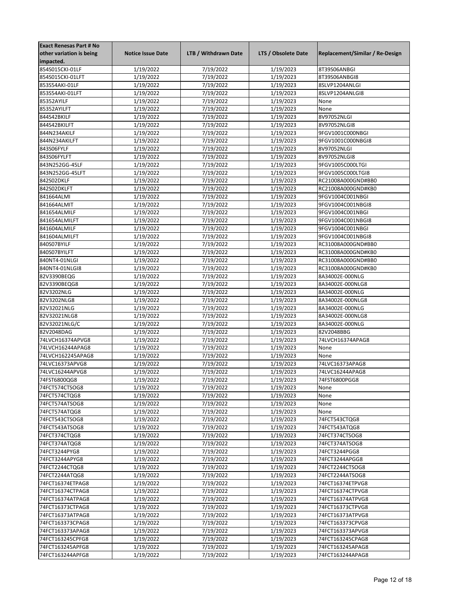| <b>Exact Renesas Part # No</b> |                          |                      |                     |                                 |
|--------------------------------|--------------------------|----------------------|---------------------|---------------------------------|
| other variation is being       | <b>Notice Issue Date</b> | LTB / Withdrawn Date | LTS / Obsolete Date | Replacement/Similar / Re-Design |
| impacted.                      |                          |                      |                     |                                 |
| 854S015CKI-01LF                | 1/19/2022                | 7/19/2022            | 1/19/2023           | 8T39S06ANBGI                    |
| 854S015CKI-01LFT               | 1/19/2022                | 7/19/2022            | 1/19/2023           | 8T39S06ANBGI8                   |
| 853S54AKI-01LF                 | 1/19/2022                | 7/19/2022            | 1/19/2023           | 8SLVP1204ANLGI                  |
| 853S54AKI-01LFT                | 1/19/2022                | 7/19/2022            | 1/19/2023           | 8SLVP1204ANLGI8                 |
| 85352AYILF                     | 1/19/2022                | 7/19/2022            | 1/19/2023           | None                            |
| 85352AYILFT                    | 1/19/2022                | 7/19/2022            | 1/19/2023           | None                            |
| 844S42BKILF                    | 1/19/2022                | 7/19/2022            | 1/19/2023           | 8V97052NLGI                     |
| 844S42BKILFT                   | 1/19/2022                |                      |                     | 8V97052NLGI8                    |
|                                |                          | 7/19/2022            | 1/19/2023           |                                 |
| 844N234AKILF                   | 1/19/2022                | 7/19/2022            | 1/19/2023           | 9FGV1001C000NBGI                |
| 844N234AKILFT                  | 1/19/2022                | 7/19/2022            | 1/19/2023           | 9FGV1001C000NBGI8               |
| 843S06FYLF                     | 1/19/2022                | 7/19/2022            | 1/19/2023           | 8V97052NLGI                     |
| 843S06FYLFT                    | 1/19/2022                | 7/19/2022            | 1/19/2023           | 8V97052NLGI8                    |
| 843N252GG-45LF                 | 1/19/2022                | 7/19/2022            | 1/19/2023           | 9FGV1005C000LTGI                |
| 843N252GG-45LFT                | 1/19/2022                | 7/19/2022            | 1/19/2023           | 9FGV1005C000LTGI8               |
| 842S02DKLF                     | 1/19/2022                | 7/19/2022            | 1/19/2023           | RC21008A000GND#BB0              |
| 842S02DKLFT                    | 1/19/2022                | 7/19/2022            | 1/19/2023           | RC21008A000GND#KB0              |
| 841664ALMI                     | 1/19/2022                | 7/19/2022            | 1/19/2023           | 9FGV1004C001NBGI                |
| 841664ALMIT                    | 1/19/2022                | 7/19/2022            | 1/19/2023           | 9FGV1004C001NBGI8               |
| 841654ALMILF                   | 1/19/2022                | 7/19/2022            | 1/19/2023           | 9FGV1004C001NBGI                |
| 841654ALMILFT                  | 1/19/2022                | 7/19/2022            | 1/19/2023           | 9FGV1004C001NBGI8               |
| 841604ALMILF                   | 1/19/2022                | 7/19/2022            | 1/19/2023           | 9FGV1004C001NBGI                |
| 841604ALMILFT                  | 1/19/2022                | 7/19/2022            | 1/19/2023           | 9FGV1004C001NBGI8               |
| 840S07BYILF                    | 1/19/2022                | 7/19/2022            | 1/19/2023           | RC31008A000GND#BB0              |
| 840S07BYILFT                   | 1/19/2022                | 7/19/2022            | 1/19/2023           | RC31008A000GND#KB0              |
| 840NT4-01NLGI                  | 1/19/2022                | 7/19/2022            | 1/19/2023           | RC31008A000GND#BB0              |
| 840NT4-01NLGI8                 | 1/19/2022                | 7/19/2022            | 1/19/2023           | RC31008A000GND#KB0              |
| 82V3390BEQG                    | 1/19/2022                | 7/19/2022            | 1/19/2023           | 8A34002E-000NLG                 |
| 82V3390BEQG8                   | 1/19/2022                | 7/19/2022            | 1/19/2023           | 8A34002E-000NLG8                |
| 82V3202NLG                     | 1/19/2022                | 7/19/2022            | 1/19/2023           | 8A34002E-000NLG                 |
|                                |                          |                      |                     |                                 |
| 82V3202NLG8                    | 1/19/2022                | 7/19/2022            | 1/19/2023           | 8A34002E-000NLG8                |
| 82V32021NLG                    | 1/19/2022                | 7/19/2022            | 1/19/2023           | 8A34002E-000NLG                 |
| 82V32021NLG8                   | 1/19/2022                | 7/19/2022            | 1/19/2023           | 8A34002E-000NLG8                |
| 82V32021NLG/C                  | 1/19/2022                | 7/19/2022            | 1/19/2023           | 8A34002E-000NLG                 |
| 82V2048DAG                     | 1/19/2022                | 7/19/2022            | 1/19/2023           | 82V2048BBG                      |
| 74LVCH16374APVG8               | 1/19/2022                | 7/19/2022            | 1/19/2023           | 74LVCH16374APAG8                |
| 74LVCH16244APAG8               | 1/19/2022                | 7/19/2022            | 1/19/2023           | None                            |
| 74LVCH162245APAG8              | 1/19/2022                | 7/19/2022            | 1/19/2023           | None                            |
| 74LVC16373APVG8                | 1/19/2022                | 7/19/2022            | 1/19/2023           | 74LVC16373APAG8                 |
| 74LVC16244APVG8                | 1/19/2022                | 7/19/2022            | 1/19/2023           | 74LVC16244APAG8                 |
| 74FST6800QG8                   | 1/19/2022                | 7/19/2022            | 1/19/2023           | 74FST6800PGG8                   |
| 74FCT574CTSOG8                 | 1/19/2022                | 7/19/2022            | 1/19/2023           | None                            |
| 74FCT574CTQG8                  | 1/19/2022                | 7/19/2022            | 1/19/2023           | None                            |
| 74FCT574ATSOG8                 | 1/19/2022                | 7/19/2022            | 1/19/2023           | None                            |
| 74FCT574ATQG8                  | 1/19/2022                | 7/19/2022            | 1/19/2023           | None                            |
| 74FCT543CTSOG8                 | 1/19/2022                | 7/19/2022            | 1/19/2023           | 74FCT543CTQG8                   |
| 74FCT543ATSOG8                 | 1/19/2022                | 7/19/2022            | 1/19/2023           | 74FCT543ATQG8                   |
| 74FCT374CTQG8                  | 1/19/2022                | 7/19/2022            | 1/19/2023           | 74FCT374CTSOG8                  |
| 74FCT374ATQG8                  | 1/19/2022                | 7/19/2022            | 1/19/2023           | 74FCT374ATSOG8                  |
| 74FCT3244PYG8                  | 1/19/2022                | 7/19/2022            | 1/19/2023           | 74FCT3244PGG8                   |
| 74FCT3244APYG8                 | 1/19/2022                | 7/19/2022            | 1/19/2023           | 74FCT3244APGG8                  |
| 74FCT2244CTQG8                 | 1/19/2022                | 7/19/2022            | 1/19/2023           | 74FCT2244CTSOG8                 |
| 74FCT2244ATQG8                 | 1/19/2022                | 7/19/2022            | 1/19/2023           | 74FCT2244ATSOG8                 |
|                                |                          |                      |                     |                                 |
| 74FCT16374ETPAG8               | 1/19/2022                | 7/19/2022            | 1/19/2023           | 74FCT16374ETPVG8                |
| 74FCT16374CTPAG8               | 1/19/2022                | 7/19/2022            | 1/19/2023           | 74FCT16374CTPVG8                |
| 74FCT16374ATPAG8               | 1/19/2022                | 7/19/2022            | 1/19/2023           | 74FCT16374ATPVG8                |
| 74FCT16373CTPAG8               | 1/19/2022                | 7/19/2022            | 1/19/2023           | 74FCT16373CTPVG8                |
| 74FCT16373ATPAG8               | 1/19/2022                | 7/19/2022            | 1/19/2023           | 74FCT16373ATPVG8                |
| 74FCT163373CPAG8               | 1/19/2022                | 7/19/2022            | 1/19/2023           | 74FCT163373CPVG8                |
| 74FCT163373APAG8               | 1/19/2022                | 7/19/2022            | 1/19/2023           | 74FCT163373APVG8                |
| 74FCT163245CPFG8               | 1/19/2022                | 7/19/2022            | 1/19/2023           | 74FCT163245CPAG8                |
| 74FCT163245APFG8               | 1/19/2022                | 7/19/2022            | 1/19/2023           | 74FCT163245APAG8                |
| 74FCT163244APFG8               | 1/19/2022                | 7/19/2022            | 1/19/2023           | 74FCT163244APAG8                |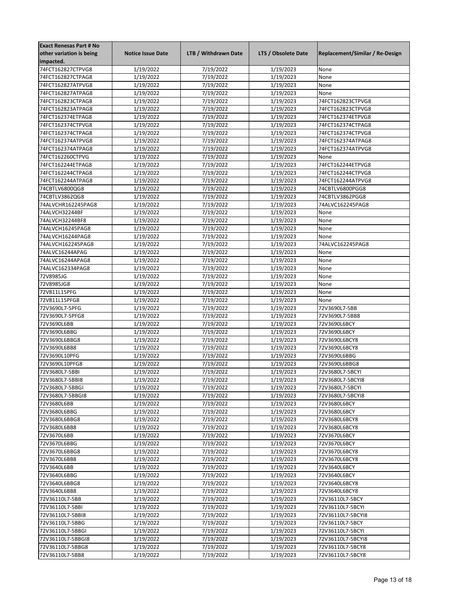| <b>Exact Renesas Part # No</b> |                          |                      |                     |                                 |
|--------------------------------|--------------------------|----------------------|---------------------|---------------------------------|
| other variation is being       | <b>Notice Issue Date</b> | LTB / Withdrawn Date | LTS / Obsolete Date | Replacement/Similar / Re-Design |
| impacted.                      |                          |                      |                     |                                 |
| 74FCT162827CTPVG8              | 1/19/2022                | 7/19/2022            | 1/19/2023           | None                            |
| 74FCT162827CTPAG8              | 1/19/2022                | 7/19/2022            | 1/19/2023           | None                            |
| 74FCT162827ATPVG8              | 1/19/2022                | 7/19/2022            | 1/19/2023           | None                            |
| 74FCT162827ATPAG8              | 1/19/2022                | 7/19/2022            | 1/19/2023           | None                            |
| 74FCT162823CTPAG8              | 1/19/2022                | 7/19/2022            | 1/19/2023           | 74FCT162823CTPVG8               |
| 74FCT162823ATPAG8              | 1/19/2022                | 7/19/2022            | 1/19/2023           | 74FCT162823CTPVG8               |
| 74FCT162374ETPAG8              | 1/19/2022                | 7/19/2022            | 1/19/2023           | 74FCT162374ETPVG8               |
| 74FCT162374CTPVG8              |                          | 7/19/2022            | 1/19/2023           | 74FCT162374CTPAG8               |
|                                | 1/19/2022                |                      |                     |                                 |
| 74FCT162374CTPAG8              | 1/19/2022                | 7/19/2022            | 1/19/2023           | 74FCT162374CTPVG8               |
| 74FCT162374ATPVG8              | 1/19/2022                | 7/19/2022            | 1/19/2023           | 74FCT162374ATPAG8               |
| 74FCT162374ATPAG8              | 1/19/2022                | 7/19/2022            | 1/19/2023           | 74FCT162374ATPVG8               |
| 74FCT162260CTPVG               | 1/19/2022                | 7/19/2022            | 1/19/2023           | None                            |
| 74FCT162244ETPAG8              | 1/19/2022                | 7/19/2022            | 1/19/2023           | 74FCT162244ETPVG8               |
| 74FCT162244CTPAG8              | 1/19/2022                | 7/19/2022            | 1/19/2023           | 74FCT162244CTPVG8               |
| 74FCT162244ATPAG8              | 1/19/2022                | 7/19/2022            | 1/19/2023           | 74FCT162244ATPVG8               |
| 74CBTLV6800QG8                 | 1/19/2022                | 7/19/2022            | 1/19/2023           | 74CBTLV6800PGG8                 |
| 74CBTLV3862QG8                 | 1/19/2022                | 7/19/2022            | 1/19/2023           | 74CBTLV3862PGG8                 |
| 74ALVCHR162245PAG8             | 1/19/2022                | 7/19/2022            | 1/19/2023           | 74ALVC162245PAG8                |
| 74ALVCH32244BF                 | 1/19/2022                | 7/19/2022            | 1/19/2023           | None                            |
| 74ALVCH32244BF8                | 1/19/2022                | 7/19/2022            | 1/19/2023           | None                            |
| 74ALVCH16245PAG8               | 1/19/2022                | 7/19/2022            | 1/19/2023           | None                            |
| 74ALVCH16244PAG8               | 1/19/2022                | 7/19/2022            | 1/19/2023           | None                            |
| 74ALVCH162245PAG8              | 1/19/2022                | 7/19/2022            | 1/19/2023           | 74ALVC162245PAG8                |
|                                |                          |                      |                     |                                 |
| 74ALVC16244APAG                | 1/19/2022                | 7/19/2022            | 1/19/2023           | None                            |
| 74ALVC16244APAG8               | 1/19/2022                | 7/19/2022            | 1/19/2023           | None                            |
| 74ALVC162334PAG8               | 1/19/2022                | 7/19/2022            | 1/19/2023           | None                            |
| 72V8985JG                      | 1/19/2022                | 7/19/2022            | 1/19/2023           | None                            |
| 72V8985JG8                     | 1/19/2022                | 7/19/2022            | 1/19/2023           | None                            |
| 72V811L15PFG                   | 1/19/2022                | 7/19/2022            | 1/19/2023           | None                            |
| 72V811L15PFG8                  | 1/19/2022                | 7/19/2022            | 1/19/2023           | None                            |
| 72V3690L7-5PFG                 | 1/19/2022                | 7/19/2022            | 1/19/2023           | 72V3690L7-5BB                   |
| 72V3690L7-5PFG8                | 1/19/2022                | 7/19/2022            | 1/19/2023           | 72V3690L7-5BB8                  |
| 72V3690L6BB                    | 1/19/2022                | 7/19/2022            | 1/19/2023           | 72V3690L6BCY                    |
| 72V3690L6BBG                   | 1/19/2022                | 7/19/2022            | 1/19/2023           | 72V3690L6BCY                    |
| 72V3690L6BBG8                  | 1/19/2022                | 7/19/2022            | 1/19/2023           | 72V3690L6BCY8                   |
| 72V3690L6BB8                   | 1/19/2022                | 7/19/2022            | 1/19/2023           | 72V3690L6BCY8                   |
| 72V3690L10PFG                  | 1/19/2022                | 7/19/2022            | 1/19/2023           | 72V3690L6BBG                    |
| 72V3690L10PFG8                 | 1/19/2022                | 7/19/2022            | 1/19/2023           | 72V3690L6BBG8                   |
| 72V3680L7-5BBI                 | 1/19/2022                | 7/19/2022            | 1/19/2023           | 72V3680L7-5BCYI                 |
| 72V3680L7-5BBI8                |                          |                      | 1/19/2023           |                                 |
|                                | 1/19/2022                | 7/19/2022            |                     | 72V3680L7-5BCYI8                |
| 72V3680L7-5BBGI                | 1/19/2022                | 7/19/2022            | 1/19/2023           | 72V3680L7-5BCYI                 |
| 72V3680L7-5BBGI8               | 1/19/2022                | 7/19/2022            | 1/19/2023           | 72V3680L7-5BCYI8                |
| 72V3680L6BB                    | 1/19/2022                | 7/19/2022            | 1/19/2023           | 72V3680L6BCY                    |
| 72V3680L6BBG                   | 1/19/2022                | 7/19/2022            | 1/19/2023           | 72V3680L6BCY                    |
| 72V3680L6BBG8                  | 1/19/2022                | 7/19/2022            | 1/19/2023           | 72V3680L6BCY8                   |
| 72V3680L6BB8                   | 1/19/2022                | 7/19/2022            | 1/19/2023           | 72V3680L6BCY8                   |
| 72V3670L6BB                    | 1/19/2022                | 7/19/2022            | 1/19/2023           | 72V3670L6BCY                    |
| 72V3670L6BBG                   | 1/19/2022                | 7/19/2022            | 1/19/2023           | 72V3670L6BCY                    |
| 72V3670L6BBG8                  | 1/19/2022                | 7/19/2022            | 1/19/2023           | 72V3670L6BCY8                   |
| 72V3670L6BB8                   | 1/19/2022                | 7/19/2022            | 1/19/2023           | 72V3670L6BCY8                   |
| 72V3640L6BB                    | 1/19/2022                | 7/19/2022            | 1/19/2023           | 72V3640L6BCY                    |
| 72V3640L6BBG                   | 1/19/2022                | 7/19/2022            | 1/19/2023           | 72V3640L6BCY                    |
| 72V3640L6BBG8                  | 1/19/2022                | 7/19/2022            | 1/19/2023           | 72V3640L6BCY8                   |
| 72V3640L6BB8                   | 1/19/2022                | 7/19/2022            | 1/19/2023           | 72V3640L6BCY8                   |
| 72V36110L7-5BB                 | 1/19/2022                | 7/19/2022            | 1/19/2023           | 72V36110L7-5BCY                 |
| 72V36110L7-5BBI                | 1/19/2022                | 7/19/2022            | 1/19/2023           | 72V36110L7-5BCYI                |
|                                |                          |                      |                     |                                 |
| 72V36110L7-5BBI8               | 1/19/2022                | 7/19/2022            | 1/19/2023           | 72V36110L7-5BCYI8               |
| 72V36110L7-5BBG                | 1/19/2022                | 7/19/2022            | 1/19/2023           | 72V36110L7-5BCY                 |
| 72V36110L7-5BBGI               | 1/19/2022                | 7/19/2022            | 1/19/2023           | 72V36110L7-5BCYI                |
| 72V36110L7-5BBGI8              | 1/19/2022                | 7/19/2022            | 1/19/2023           | 72V36110L7-5BCYI8               |
| 72V36110L7-5BBG8               | 1/19/2022                | 7/19/2022            | 1/19/2023           | 72V36110L7-5BCY8                |
| 72V36110L7-5BB8                | 1/19/2022                | 7/19/2022            | 1/19/2023           | 72V36110L7-5BCY8                |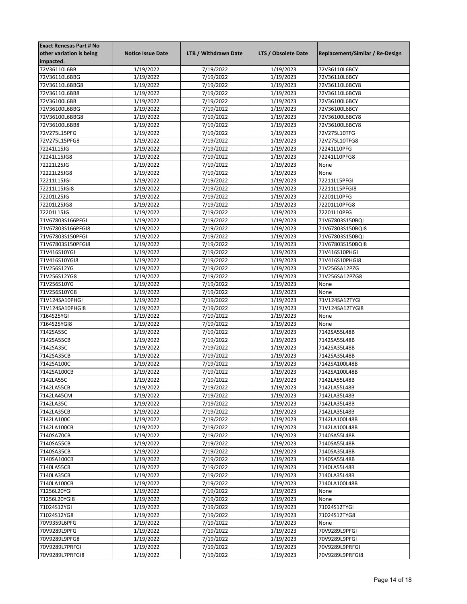| <b>Exact Renesas Part # No</b> |                          |                      |                     |                                 |
|--------------------------------|--------------------------|----------------------|---------------------|---------------------------------|
| other variation is being       | <b>Notice Issue Date</b> | LTB / Withdrawn Date | LTS / Obsolete Date | Replacement/Similar / Re-Design |
| impacted.                      |                          |                      |                     |                                 |
| 72V36110L6BB                   | 1/19/2022                | 7/19/2022            | 1/19/2023           | 72V36110L6BCY                   |
| 72V36110L6BBG                  | 1/19/2022                | 7/19/2022            | 1/19/2023           | 72V36110L6BCY                   |
| 72V36110L6BBG8                 | 1/19/2022                | 7/19/2022            | 1/19/2023           | 72V36110L6BCY8                  |
| 72V36110L6BB8                  | 1/19/2022                | 7/19/2022            | 1/19/2023           | 72V36110L6BCY8                  |
| 72V36100L6BB                   | 1/19/2022                | 7/19/2022            | 1/19/2023           | 72V36100L6BCY                   |
| 72V36100L6BBG                  | 1/19/2022                | 7/19/2022            | 1/19/2023           | 72V36100L6BCY                   |
| 72V36100L6BBG8                 | 1/19/2022                | 7/19/2022            | 1/19/2023           | 72V36100L6BCY8                  |
| 72V36100L6BB8                  | $\frac{1}{1}$ /19/2022   | 7/19/2022            | 1/19/2023           | 72V36100L6BCY8                  |
|                                |                          |                      |                     |                                 |
| 72V275L15PFG                   | 1/19/2022                | 7/19/2022            | 1/19/2023           | 72V275L10TFG                    |
| 72V275L15PFG8                  | 1/19/2022                | 7/19/2022            | 1/19/2023           | 72V275L10TFG8                   |
| 72241L15JG                     | 1/19/2022                | 7/19/2022            | 1/19/2023           | 72241L10PFG                     |
| 72241L15JG8                    | 1/19/2022                | 7/19/2022            | 1/19/2023           | 72241L10PFG8                    |
| 72221L25JG                     | 1/19/2022                | 7/19/2022            | 1/19/2023           | None                            |
| 72221L25JG8                    | 1/19/2022                | 7/19/2022            | 1/19/2023           | None                            |
| 72211L15JGI                    | 1/19/2022                | 7/19/2022            | 1/19/2023           | 72211L15PFGI                    |
| 72211L15JGI8                   | 1/19/2022                | 7/19/2022            | 1/19/2023           | 72211L15PFGI8                   |
| 72201L25JG                     | 1/19/2022                | 7/19/2022            | 1/19/2023           | 72201L10PFG                     |
| 72201L25JG8                    | 1/19/2022                | 7/19/2022            | 1/19/2023           | 72201L10PFG8                    |
| 72201L15JG                     | 1/19/2022                | 7/19/2022            | 1/19/2023           | 72201L10PFG                     |
| 71V67803S166PFGI               | 1/19/2022                | 7/19/2022            | 1/19/2023           | 71V67803S150BQI                 |
| 71V67803S166PFGI8              | 1/19/2022                | 7/19/2022            | 1/19/2023           | 71V67803S150BQI8                |
| 71V67803S150PFGI               | 1/19/2022                | 7/19/2022            | 1/19/2023           | 71V67803S150BQI                 |
| 71V67803S150PFGI8              | 1/19/2022                | 7/19/2022            | 1/19/2023           | 71V67803S150BQI8                |
|                                |                          |                      |                     |                                 |
| 71V416S10YGI                   | 1/19/2022                | 7/19/2022            | 1/19/2023           | 71V416S10PHGI                   |
| 71V416S10YGI8                  | 1/19/2022                | 7/19/2022            | 1/19/2023           | 71V416S10PHGI8                  |
| 71V256S12YG                    | 1/19/2022                | 7/19/2022            | 1/19/2023           | 71V256SA12PZG                   |
| 71V256S12YG8                   | 1/19/2022                | 7/19/2022            | 1/19/2023           | 71V256SA12PZG8                  |
| 71V256S10YG                    | 1/19/2022                | 7/19/2022            | 1/19/2023           | None                            |
| 71V256S10YG8                   | 1/19/2022                | 7/19/2022            | 1/19/2023           | None                            |
| 71V124SA10PHGI                 | 1/19/2022                | 7/19/2022            | 1/19/2023           | 71V124SA12TYGI                  |
| 71V124SA10PHGI8                | 1/19/2022                | 7/19/2022            | 1/19/2023           | 71V124SA12TYGI8                 |
| 7164S25YGI                     | 1/19/2022                | 7/19/2022            | 1/19/2023           | None                            |
| 7164S25YGI8                    | 1/19/2022                | 7/19/2022            | 1/19/2023           | None                            |
| 7142SA55C                      | 1/19/2022                | 7/19/2022            | 1/19/2023           | 7142SA55L48B                    |
| 7142SA55CB                     | 1/19/2022                | 7/19/2022            | 1/19/2023           | 7142SA55L48B                    |
| 7142SA35C                      | 1/19/2022                | 7/19/2022            | 1/19/2023           | 7142SA35L48B                    |
| 7142SA35CB                     | 1/19/2022                | 7/19/2022            | 1/19/2023           | 7142SA35L48B                    |
| 7142SA100C                     | 1/19/2022                | 7/19/2022            | 1/19/2023           | 7142SA100L48B                   |
| 7142SA100CB                    | 1/19/2022                | 7/19/2022            | 1/19/2023           | 7142SA100L48B                   |
| 7142LA55C                      | 1/19/2022                | 7/19/2022            | 1/19/2023           | 7142LA55L48B                    |
|                                |                          |                      |                     |                                 |
| 7142LA55CB                     | 1/19/2022                | 7/19/2022            | 1/19/2023           | 7142LA55L48B                    |
| 7142LA45CM                     | 1/19/2022                | 7/19/2022            | 1/19/2023           | 7142LA35L48B                    |
| 7142LA35C                      | 1/19/2022                | 7/19/2022            | 1/19/2023           | 7142LA35L48B                    |
| 7142LA35CB                     | 1/19/2022                | 7/19/2022            | 1/19/2023           | 7142LA35L48B                    |
| 7142LA100C                     | 1/19/2022                | 7/19/2022            | 1/19/2023           | 7142LA100L48B                   |
| 7142LA100CB                    | 1/19/2022                | 7/19/2022            | 1/19/2023           | 7142LA100L48B                   |
| 7140SA70CB                     | 1/19/2022                | 7/19/2022            | 1/19/2023           | 7140SA55L48B                    |
| 7140SA55CB                     | 1/19/2022                | 7/19/2022            | 1/19/2023           | 7140SA55L48B                    |
| 7140SA35CB                     | 1/19/2022                | 7/19/2022            | 1/19/2023           | 7140SA35L48B                    |
| 7140SA100CB                    | 1/19/2022                | 7/19/2022            | 1/19/2023           | 7140SA55L48B                    |
| 7140LA55CB                     | 1/19/2022                | 7/19/2022            | 1/19/2023           | 7140LA55L48B                    |
| 7140LA35CB                     | 1/19/2022                | 7/19/2022            | 1/19/2023           | 7140LA35L48B                    |
| 7140LA100CB                    | 1/19/2022                | 7/19/2022            | 1/19/2023           | 7140LA100L48B                   |
| 71256L20YGI                    | 1/19/2022                | 7/19/2022            | 1/19/2023           | None                            |
| 71256L20YGI8                   | 1/19/2022                | 7/19/2022            | 1/19/2023           | None                            |
| 71024S12YGI                    | 1/19/2022                | 7/19/2022            | 1/19/2023           | 71024S12TYGI                    |
|                                |                          |                      |                     |                                 |
| 71024S12YG8                    | 1/19/2022                | 7/19/2022            | 1/19/2023           | 71024S12TYG8                    |
| 70V9359L6PFG                   | 1/19/2022                | 7/19/2022            | 1/19/2023           | None                            |
| 70V9289L9PFG                   | 1/19/2022                | 7/19/2022            | 1/19/2023           | 70V9289L9PFGI                   |
| 70V9289L9PFG8                  | 1/19/2022                | 7/19/2022            | 1/19/2023           | 70V9289L9PFGI                   |
| 70V9289L7PRFGI                 | 1/19/2022                | 7/19/2022            | 1/19/2023           | 70V9289L9PRFGI                  |
| 70V9289L7PRFGI8                | 1/19/2022                | 7/19/2022            | 1/19/2023           | 70V9289L9PRFGI8                 |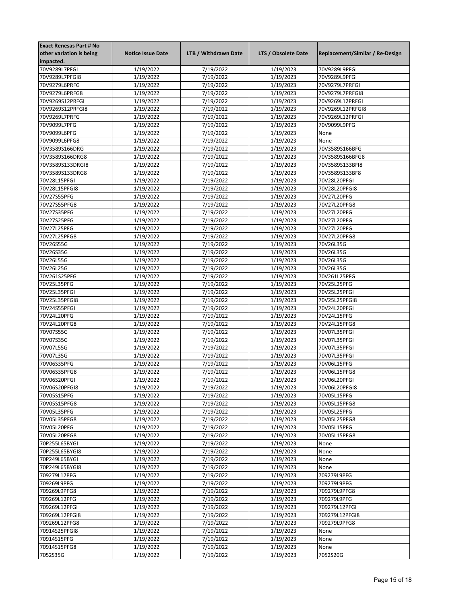| Replacement/Similar / Re-Design<br><b>Notice Issue Date</b><br>LTB / Withdrawn Date<br>LTS / Obsolete Date<br>70V9289L7PFGI<br>1/19/2022<br>7/19/2022<br>1/19/2023<br>70V9289L9PFGI<br>1/19/2022<br>7/19/2022<br>70V9289L7PFGI8<br>1/19/2023<br>70V9289L9PFGI<br>70V9279L6PRFG<br>1/19/2022<br>7/19/2022<br>1/19/2023<br>70V9279L7PRFGI<br>7/19/2022<br>1/19/2023<br>70V9279L6PRFG8<br>1/19/2022<br>70V9279L7PRFGI8<br>1/19/2022<br>7/19/2022<br>1/19/2023<br>70V9269S12PRFGI<br>70V9269L12PRFGI<br>70V9269S12PRFGI8<br>1/19/2022<br>7/19/2022<br>1/19/2023<br>70V9269L12PRFGI8<br>7/19/2022<br>1/19/2023<br>70V9269L7PRFG<br>1/19/2022<br>70V9269L12PRFGI<br>1/19/2023<br>70V9099L7PFG<br>1/19/2022<br>7/19/2022<br>70V9099L9PFG<br>70V9099L6PFG<br>1/19/2022<br>7/19/2022<br>1/19/2023<br>None<br>70V9099L6PFG8<br>1/19/2022<br>7/19/2022<br>1/19/2023<br>None<br>7/19/2022<br>70V3589S166DRG<br>1/19/2022<br>1/19/2023<br>70V3589S166BFG<br>1/19/2022<br>7/19/2022<br>1/19/2023<br>70V3589S166BFG8<br>70V3589S166DRG8<br>7/19/2022<br>1/19/2023<br>70V3589S133DRGI8<br>1/19/2022<br>70V3589S133BFI8<br>70V3589S133DRG8<br>1/19/2022<br>7/19/2022<br>1/19/2023<br>70V3589S133BF8<br>70V28L15PFGI<br>1/19/2022<br>7/19/2022<br>1/19/2023<br>70V28L20PFGI<br>7/19/2022<br>70V28L15PFGI8<br>1/19/2022<br>1/19/2023<br>70V28L20PFGI8<br>1/19/2022<br>7/19/2022<br>1/19/2023<br>70V27S55PFG<br>70V27L20PFG<br>1/19/2022<br>7/19/2022<br>70V27L20PFG8<br>70V27S55PFG8<br>1/19/2023<br>70V27S35PFG<br>1/19/2022<br>7/19/2022<br>1/19/2023<br>70V27L20PFG<br>70V27S25PFG<br>1/19/2022<br>7/19/2022<br>1/19/2023<br>70V27L20PFG<br>1/19/2022<br>7/19/2022<br>1/19/2023<br>70V27L25PFG<br>70V27L20PFG<br>70V27L25PFG8<br>1/19/2022<br>7/19/2022<br>1/19/2023<br>70V27L20PFG8<br>70V26S55G<br>1/19/2022<br>7/19/2022<br>1/19/2023<br>70V26L35G<br>70V26S35G<br>1/19/2022<br>7/19/2022<br>1/19/2023<br>70V26L35G<br>70V26L55G<br>1/19/2022<br>7/19/2022<br>1/19/2023<br>70V26L35G<br>70V26L25G<br>1/19/2022<br>7/19/2022<br>1/19/2023<br>70V26L35G<br>7/19/2022<br>1/19/2023<br>70V261S25PFG<br>1/19/2022<br>70V261L25PFG<br>7/19/2022<br>1/19/2023<br>70V25L35PFG<br>1/19/2022<br>70V25L25PFG<br>70V25L35PFGI<br>1/19/2022<br>7/19/2022<br>1/19/2023<br>70V25L25PFGI<br>7/19/2022<br>70V25L35PFGI8<br>1/19/2022<br>1/19/2023<br>70V25L25PFGI8<br>70V24S55PFGI<br>1/19/2022<br>7/19/2022<br>1/19/2023<br>70V24L20PFGI<br>70V24L20PFG<br>1/19/2022<br>7/19/2022<br>1/19/2023<br>70V24L15PFG<br>70V24L20PFG8<br>1/19/2022<br>7/19/2022<br>1/19/2023<br>70V24L15PFG8<br>70V07S55G<br>1/19/2022<br>7/19/2022<br>1/19/2023<br>70V07L35PFGI<br>70V07S35G<br>1/19/2022<br>7/19/2022<br>1/19/2023<br>70V07L35PFGI<br>70V07L55G<br>1/19/2022<br>7/19/2022<br>1/19/2023<br>70V07L35PFGI<br>70V07L35G<br>1/19/2022<br>7/19/2022<br>1/19/2023<br>70V07L35PFGI<br>70V06S35PFG<br>1/19/2022<br>7/19/2022<br>1/19/2023<br>70V06L15PFG<br>70V06S35PFG8<br>1/19/2022<br>7/19/2022<br>1/19/2023<br>70V06L15PFG8<br>70V06S20PFGI<br>1/19/2022<br>7/19/2022<br>1/19/2023<br>70V06L20PFGI<br>70V06S20PFGI8<br>1/19/2022<br>7/19/2022<br>1/19/2023<br>70V06L20PFGI8<br>70V05S15PFG<br>1/19/2022<br>7/19/2022<br>1/19/2023<br>70V05L15PFG<br>70V05S15PFG8<br>1/19/2022<br>7/19/2022<br>1/19/2023<br>70V05L15PFG8<br>70V05L35PFG<br>1/19/2022<br>7/19/2022<br>1/19/2023<br>70V05L25PFG<br>7/19/2022<br>70V05L35PFG8<br>1/19/2022<br>1/19/2023<br>70V05L25PFG8<br>70V05L20PFG<br>1/19/2022<br>7/19/2022<br>1/19/2023<br>70V05L15PFG<br>7/19/2022<br>1/19/2023<br>70V05L20PFG8<br>1/19/2022<br>70V05L15PFG8<br>1/19/2022<br>7/19/2022<br>1/19/2023<br>70P255L65BYGI<br>None<br>70P255L65BYGI8<br>1/19/2022<br>7/19/2022<br>1/19/2023<br>None<br>7/19/2022<br>70P249L65BYGI<br>1/19/2022<br>1/19/2023<br>None<br>70P249L65BYGI8<br>1/19/2022<br>7/19/2022<br>1/19/2023<br>None<br>709279L12PFG<br>1/19/2022<br>7/19/2022<br>1/19/2023<br>709279L9PFG<br>709269L9PFG<br>1/19/2022<br>7/19/2022<br>1/19/2023<br>709279L9PFG<br>1/19/2022<br>7/19/2022<br>1/19/2023<br>709269L9PFG8<br>709279L9PFG8<br>7/19/2022<br>1/19/2023<br>709269L12PFG<br>1/19/2022<br>709279L9PFG<br>709269L12PFGI<br>1/19/2022<br>7/19/2022<br>1/19/2023<br>709279L12PFGI<br>7/19/2022<br>1/19/2023<br>709269L12PFGI8<br>1/19/2022<br>709279L12PFGI8<br>709269L12PFG8<br>1/19/2022<br>7/19/2022<br>1/19/2023<br>709279L9PFG8<br>1/19/2022<br>7/19/2022<br>1/19/2023<br>70914S25PFGI8<br>None<br>70914S15PFG<br>1/19/2022<br>7/19/2022<br>1/19/2023<br>None<br>70914S15PFG8<br>1/19/2022<br>7/19/2022<br>1/19/2023<br>None<br>7052S35G<br>1/19/2022<br>7/19/2022<br>1/19/2023<br>7052S20G | <b>Exact Renesas Part # No</b> |  |  |
|---------------------------------------------------------------------------------------------------------------------------------------------------------------------------------------------------------------------------------------------------------------------------------------------------------------------------------------------------------------------------------------------------------------------------------------------------------------------------------------------------------------------------------------------------------------------------------------------------------------------------------------------------------------------------------------------------------------------------------------------------------------------------------------------------------------------------------------------------------------------------------------------------------------------------------------------------------------------------------------------------------------------------------------------------------------------------------------------------------------------------------------------------------------------------------------------------------------------------------------------------------------------------------------------------------------------------------------------------------------------------------------------------------------------------------------------------------------------------------------------------------------------------------------------------------------------------------------------------------------------------------------------------------------------------------------------------------------------------------------------------------------------------------------------------------------------------------------------------------------------------------------------------------------------------------------------------------------------------------------------------------------------------------------------------------------------------------------------------------------------------------------------------------------------------------------------------------------------------------------------------------------------------------------------------------------------------------------------------------------------------------------------------------------------------------------------------------------------------------------------------------------------------------------------------------------------------------------------------------------------------------------------------------------------------------------------------------------------------------------------------------------------------------------------------------------------------------------------------------------------------------------------------------------------------------------------------------------------------------------------------------------------------------------------------------------------------------------------------------------------------------------------------------------------------------------------------------------------------------------------------------------------------------------------------------------------------------------------------------------------------------------------------------------------------------------------------------------------------------------------------------------------------------------------------------------------------------------------------------------------------------------------------------------------------------------------------------------------------------------------------------------------------------------------------------------------------------------------------------------------------------------------------------------------------------------------------------------------------------------------------------------------------------------------------------------------------------------------------------------------------------------------------------------------------------------------------------------------------------------------------------------------------------------------------------------------------------------------------------------------------------------------------------------------------------------------------------------------------------------------------------------------------------------------------------------------------------------------------------------------------|--------------------------------|--|--|
|                                                                                                                                                                                                                                                                                                                                                                                                                                                                                                                                                                                                                                                                                                                                                                                                                                                                                                                                                                                                                                                                                                                                                                                                                                                                                                                                                                                                                                                                                                                                                                                                                                                                                                                                                                                                                                                                                                                                                                                                                                                                                                                                                                                                                                                                                                                                                                                                                                                                                                                                                                                                                                                                                                                                                                                                                                                                                                                                                                                                                                                                                                                                                                                                                                                                                                                                                                                                                                                                                                                                                                                                                                                                                                                                                                                                                                                                                                                                                                                                                                                                                                                                                                                                                                                                                                                                                                                                                                                                                                                                                                                                                           | other variation is being       |  |  |
|                                                                                                                                                                                                                                                                                                                                                                                                                                                                                                                                                                                                                                                                                                                                                                                                                                                                                                                                                                                                                                                                                                                                                                                                                                                                                                                                                                                                                                                                                                                                                                                                                                                                                                                                                                                                                                                                                                                                                                                                                                                                                                                                                                                                                                                                                                                                                                                                                                                                                                                                                                                                                                                                                                                                                                                                                                                                                                                                                                                                                                                                                                                                                                                                                                                                                                                                                                                                                                                                                                                                                                                                                                                                                                                                                                                                                                                                                                                                                                                                                                                                                                                                                                                                                                                                                                                                                                                                                                                                                                                                                                                                                           | impacted.                      |  |  |
|                                                                                                                                                                                                                                                                                                                                                                                                                                                                                                                                                                                                                                                                                                                                                                                                                                                                                                                                                                                                                                                                                                                                                                                                                                                                                                                                                                                                                                                                                                                                                                                                                                                                                                                                                                                                                                                                                                                                                                                                                                                                                                                                                                                                                                                                                                                                                                                                                                                                                                                                                                                                                                                                                                                                                                                                                                                                                                                                                                                                                                                                                                                                                                                                                                                                                                                                                                                                                                                                                                                                                                                                                                                                                                                                                                                                                                                                                                                                                                                                                                                                                                                                                                                                                                                                                                                                                                                                                                                                                                                                                                                                                           |                                |  |  |
|                                                                                                                                                                                                                                                                                                                                                                                                                                                                                                                                                                                                                                                                                                                                                                                                                                                                                                                                                                                                                                                                                                                                                                                                                                                                                                                                                                                                                                                                                                                                                                                                                                                                                                                                                                                                                                                                                                                                                                                                                                                                                                                                                                                                                                                                                                                                                                                                                                                                                                                                                                                                                                                                                                                                                                                                                                                                                                                                                                                                                                                                                                                                                                                                                                                                                                                                                                                                                                                                                                                                                                                                                                                                                                                                                                                                                                                                                                                                                                                                                                                                                                                                                                                                                                                                                                                                                                                                                                                                                                                                                                                                                           |                                |  |  |
|                                                                                                                                                                                                                                                                                                                                                                                                                                                                                                                                                                                                                                                                                                                                                                                                                                                                                                                                                                                                                                                                                                                                                                                                                                                                                                                                                                                                                                                                                                                                                                                                                                                                                                                                                                                                                                                                                                                                                                                                                                                                                                                                                                                                                                                                                                                                                                                                                                                                                                                                                                                                                                                                                                                                                                                                                                                                                                                                                                                                                                                                                                                                                                                                                                                                                                                                                                                                                                                                                                                                                                                                                                                                                                                                                                                                                                                                                                                                                                                                                                                                                                                                                                                                                                                                                                                                                                                                                                                                                                                                                                                                                           |                                |  |  |
|                                                                                                                                                                                                                                                                                                                                                                                                                                                                                                                                                                                                                                                                                                                                                                                                                                                                                                                                                                                                                                                                                                                                                                                                                                                                                                                                                                                                                                                                                                                                                                                                                                                                                                                                                                                                                                                                                                                                                                                                                                                                                                                                                                                                                                                                                                                                                                                                                                                                                                                                                                                                                                                                                                                                                                                                                                                                                                                                                                                                                                                                                                                                                                                                                                                                                                                                                                                                                                                                                                                                                                                                                                                                                                                                                                                                                                                                                                                                                                                                                                                                                                                                                                                                                                                                                                                                                                                                                                                                                                                                                                                                                           |                                |  |  |
|                                                                                                                                                                                                                                                                                                                                                                                                                                                                                                                                                                                                                                                                                                                                                                                                                                                                                                                                                                                                                                                                                                                                                                                                                                                                                                                                                                                                                                                                                                                                                                                                                                                                                                                                                                                                                                                                                                                                                                                                                                                                                                                                                                                                                                                                                                                                                                                                                                                                                                                                                                                                                                                                                                                                                                                                                                                                                                                                                                                                                                                                                                                                                                                                                                                                                                                                                                                                                                                                                                                                                                                                                                                                                                                                                                                                                                                                                                                                                                                                                                                                                                                                                                                                                                                                                                                                                                                                                                                                                                                                                                                                                           |                                |  |  |
|                                                                                                                                                                                                                                                                                                                                                                                                                                                                                                                                                                                                                                                                                                                                                                                                                                                                                                                                                                                                                                                                                                                                                                                                                                                                                                                                                                                                                                                                                                                                                                                                                                                                                                                                                                                                                                                                                                                                                                                                                                                                                                                                                                                                                                                                                                                                                                                                                                                                                                                                                                                                                                                                                                                                                                                                                                                                                                                                                                                                                                                                                                                                                                                                                                                                                                                                                                                                                                                                                                                                                                                                                                                                                                                                                                                                                                                                                                                                                                                                                                                                                                                                                                                                                                                                                                                                                                                                                                                                                                                                                                                                                           |                                |  |  |
|                                                                                                                                                                                                                                                                                                                                                                                                                                                                                                                                                                                                                                                                                                                                                                                                                                                                                                                                                                                                                                                                                                                                                                                                                                                                                                                                                                                                                                                                                                                                                                                                                                                                                                                                                                                                                                                                                                                                                                                                                                                                                                                                                                                                                                                                                                                                                                                                                                                                                                                                                                                                                                                                                                                                                                                                                                                                                                                                                                                                                                                                                                                                                                                                                                                                                                                                                                                                                                                                                                                                                                                                                                                                                                                                                                                                                                                                                                                                                                                                                                                                                                                                                                                                                                                                                                                                                                                                                                                                                                                                                                                                                           |                                |  |  |
|                                                                                                                                                                                                                                                                                                                                                                                                                                                                                                                                                                                                                                                                                                                                                                                                                                                                                                                                                                                                                                                                                                                                                                                                                                                                                                                                                                                                                                                                                                                                                                                                                                                                                                                                                                                                                                                                                                                                                                                                                                                                                                                                                                                                                                                                                                                                                                                                                                                                                                                                                                                                                                                                                                                                                                                                                                                                                                                                                                                                                                                                                                                                                                                                                                                                                                                                                                                                                                                                                                                                                                                                                                                                                                                                                                                                                                                                                                                                                                                                                                                                                                                                                                                                                                                                                                                                                                                                                                                                                                                                                                                                                           |                                |  |  |
|                                                                                                                                                                                                                                                                                                                                                                                                                                                                                                                                                                                                                                                                                                                                                                                                                                                                                                                                                                                                                                                                                                                                                                                                                                                                                                                                                                                                                                                                                                                                                                                                                                                                                                                                                                                                                                                                                                                                                                                                                                                                                                                                                                                                                                                                                                                                                                                                                                                                                                                                                                                                                                                                                                                                                                                                                                                                                                                                                                                                                                                                                                                                                                                                                                                                                                                                                                                                                                                                                                                                                                                                                                                                                                                                                                                                                                                                                                                                                                                                                                                                                                                                                                                                                                                                                                                                                                                                                                                                                                                                                                                                                           |                                |  |  |
|                                                                                                                                                                                                                                                                                                                                                                                                                                                                                                                                                                                                                                                                                                                                                                                                                                                                                                                                                                                                                                                                                                                                                                                                                                                                                                                                                                                                                                                                                                                                                                                                                                                                                                                                                                                                                                                                                                                                                                                                                                                                                                                                                                                                                                                                                                                                                                                                                                                                                                                                                                                                                                                                                                                                                                                                                                                                                                                                                                                                                                                                                                                                                                                                                                                                                                                                                                                                                                                                                                                                                                                                                                                                                                                                                                                                                                                                                                                                                                                                                                                                                                                                                                                                                                                                                                                                                                                                                                                                                                                                                                                                                           |                                |  |  |
|                                                                                                                                                                                                                                                                                                                                                                                                                                                                                                                                                                                                                                                                                                                                                                                                                                                                                                                                                                                                                                                                                                                                                                                                                                                                                                                                                                                                                                                                                                                                                                                                                                                                                                                                                                                                                                                                                                                                                                                                                                                                                                                                                                                                                                                                                                                                                                                                                                                                                                                                                                                                                                                                                                                                                                                                                                                                                                                                                                                                                                                                                                                                                                                                                                                                                                                                                                                                                                                                                                                                                                                                                                                                                                                                                                                                                                                                                                                                                                                                                                                                                                                                                                                                                                                                                                                                                                                                                                                                                                                                                                                                                           |                                |  |  |
|                                                                                                                                                                                                                                                                                                                                                                                                                                                                                                                                                                                                                                                                                                                                                                                                                                                                                                                                                                                                                                                                                                                                                                                                                                                                                                                                                                                                                                                                                                                                                                                                                                                                                                                                                                                                                                                                                                                                                                                                                                                                                                                                                                                                                                                                                                                                                                                                                                                                                                                                                                                                                                                                                                                                                                                                                                                                                                                                                                                                                                                                                                                                                                                                                                                                                                                                                                                                                                                                                                                                                                                                                                                                                                                                                                                                                                                                                                                                                                                                                                                                                                                                                                                                                                                                                                                                                                                                                                                                                                                                                                                                                           |                                |  |  |
|                                                                                                                                                                                                                                                                                                                                                                                                                                                                                                                                                                                                                                                                                                                                                                                                                                                                                                                                                                                                                                                                                                                                                                                                                                                                                                                                                                                                                                                                                                                                                                                                                                                                                                                                                                                                                                                                                                                                                                                                                                                                                                                                                                                                                                                                                                                                                                                                                                                                                                                                                                                                                                                                                                                                                                                                                                                                                                                                                                                                                                                                                                                                                                                                                                                                                                                                                                                                                                                                                                                                                                                                                                                                                                                                                                                                                                                                                                                                                                                                                                                                                                                                                                                                                                                                                                                                                                                                                                                                                                                                                                                                                           |                                |  |  |
|                                                                                                                                                                                                                                                                                                                                                                                                                                                                                                                                                                                                                                                                                                                                                                                                                                                                                                                                                                                                                                                                                                                                                                                                                                                                                                                                                                                                                                                                                                                                                                                                                                                                                                                                                                                                                                                                                                                                                                                                                                                                                                                                                                                                                                                                                                                                                                                                                                                                                                                                                                                                                                                                                                                                                                                                                                                                                                                                                                                                                                                                                                                                                                                                                                                                                                                                                                                                                                                                                                                                                                                                                                                                                                                                                                                                                                                                                                                                                                                                                                                                                                                                                                                                                                                                                                                                                                                                                                                                                                                                                                                                                           |                                |  |  |
|                                                                                                                                                                                                                                                                                                                                                                                                                                                                                                                                                                                                                                                                                                                                                                                                                                                                                                                                                                                                                                                                                                                                                                                                                                                                                                                                                                                                                                                                                                                                                                                                                                                                                                                                                                                                                                                                                                                                                                                                                                                                                                                                                                                                                                                                                                                                                                                                                                                                                                                                                                                                                                                                                                                                                                                                                                                                                                                                                                                                                                                                                                                                                                                                                                                                                                                                                                                                                                                                                                                                                                                                                                                                                                                                                                                                                                                                                                                                                                                                                                                                                                                                                                                                                                                                                                                                                                                                                                                                                                                                                                                                                           |                                |  |  |
|                                                                                                                                                                                                                                                                                                                                                                                                                                                                                                                                                                                                                                                                                                                                                                                                                                                                                                                                                                                                                                                                                                                                                                                                                                                                                                                                                                                                                                                                                                                                                                                                                                                                                                                                                                                                                                                                                                                                                                                                                                                                                                                                                                                                                                                                                                                                                                                                                                                                                                                                                                                                                                                                                                                                                                                                                                                                                                                                                                                                                                                                                                                                                                                                                                                                                                                                                                                                                                                                                                                                                                                                                                                                                                                                                                                                                                                                                                                                                                                                                                                                                                                                                                                                                                                                                                                                                                                                                                                                                                                                                                                                                           |                                |  |  |
|                                                                                                                                                                                                                                                                                                                                                                                                                                                                                                                                                                                                                                                                                                                                                                                                                                                                                                                                                                                                                                                                                                                                                                                                                                                                                                                                                                                                                                                                                                                                                                                                                                                                                                                                                                                                                                                                                                                                                                                                                                                                                                                                                                                                                                                                                                                                                                                                                                                                                                                                                                                                                                                                                                                                                                                                                                                                                                                                                                                                                                                                                                                                                                                                                                                                                                                                                                                                                                                                                                                                                                                                                                                                                                                                                                                                                                                                                                                                                                                                                                                                                                                                                                                                                                                                                                                                                                                                                                                                                                                                                                                                                           |                                |  |  |
|                                                                                                                                                                                                                                                                                                                                                                                                                                                                                                                                                                                                                                                                                                                                                                                                                                                                                                                                                                                                                                                                                                                                                                                                                                                                                                                                                                                                                                                                                                                                                                                                                                                                                                                                                                                                                                                                                                                                                                                                                                                                                                                                                                                                                                                                                                                                                                                                                                                                                                                                                                                                                                                                                                                                                                                                                                                                                                                                                                                                                                                                                                                                                                                                                                                                                                                                                                                                                                                                                                                                                                                                                                                                                                                                                                                                                                                                                                                                                                                                                                                                                                                                                                                                                                                                                                                                                                                                                                                                                                                                                                                                                           |                                |  |  |
|                                                                                                                                                                                                                                                                                                                                                                                                                                                                                                                                                                                                                                                                                                                                                                                                                                                                                                                                                                                                                                                                                                                                                                                                                                                                                                                                                                                                                                                                                                                                                                                                                                                                                                                                                                                                                                                                                                                                                                                                                                                                                                                                                                                                                                                                                                                                                                                                                                                                                                                                                                                                                                                                                                                                                                                                                                                                                                                                                                                                                                                                                                                                                                                                                                                                                                                                                                                                                                                                                                                                                                                                                                                                                                                                                                                                                                                                                                                                                                                                                                                                                                                                                                                                                                                                                                                                                                                                                                                                                                                                                                                                                           |                                |  |  |
|                                                                                                                                                                                                                                                                                                                                                                                                                                                                                                                                                                                                                                                                                                                                                                                                                                                                                                                                                                                                                                                                                                                                                                                                                                                                                                                                                                                                                                                                                                                                                                                                                                                                                                                                                                                                                                                                                                                                                                                                                                                                                                                                                                                                                                                                                                                                                                                                                                                                                                                                                                                                                                                                                                                                                                                                                                                                                                                                                                                                                                                                                                                                                                                                                                                                                                                                                                                                                                                                                                                                                                                                                                                                                                                                                                                                                                                                                                                                                                                                                                                                                                                                                                                                                                                                                                                                                                                                                                                                                                                                                                                                                           |                                |  |  |
|                                                                                                                                                                                                                                                                                                                                                                                                                                                                                                                                                                                                                                                                                                                                                                                                                                                                                                                                                                                                                                                                                                                                                                                                                                                                                                                                                                                                                                                                                                                                                                                                                                                                                                                                                                                                                                                                                                                                                                                                                                                                                                                                                                                                                                                                                                                                                                                                                                                                                                                                                                                                                                                                                                                                                                                                                                                                                                                                                                                                                                                                                                                                                                                                                                                                                                                                                                                                                                                                                                                                                                                                                                                                                                                                                                                                                                                                                                                                                                                                                                                                                                                                                                                                                                                                                                                                                                                                                                                                                                                                                                                                                           |                                |  |  |
|                                                                                                                                                                                                                                                                                                                                                                                                                                                                                                                                                                                                                                                                                                                                                                                                                                                                                                                                                                                                                                                                                                                                                                                                                                                                                                                                                                                                                                                                                                                                                                                                                                                                                                                                                                                                                                                                                                                                                                                                                                                                                                                                                                                                                                                                                                                                                                                                                                                                                                                                                                                                                                                                                                                                                                                                                                                                                                                                                                                                                                                                                                                                                                                                                                                                                                                                                                                                                                                                                                                                                                                                                                                                                                                                                                                                                                                                                                                                                                                                                                                                                                                                                                                                                                                                                                                                                                                                                                                                                                                                                                                                                           |                                |  |  |
|                                                                                                                                                                                                                                                                                                                                                                                                                                                                                                                                                                                                                                                                                                                                                                                                                                                                                                                                                                                                                                                                                                                                                                                                                                                                                                                                                                                                                                                                                                                                                                                                                                                                                                                                                                                                                                                                                                                                                                                                                                                                                                                                                                                                                                                                                                                                                                                                                                                                                                                                                                                                                                                                                                                                                                                                                                                                                                                                                                                                                                                                                                                                                                                                                                                                                                                                                                                                                                                                                                                                                                                                                                                                                                                                                                                                                                                                                                                                                                                                                                                                                                                                                                                                                                                                                                                                                                                                                                                                                                                                                                                                                           |                                |  |  |
|                                                                                                                                                                                                                                                                                                                                                                                                                                                                                                                                                                                                                                                                                                                                                                                                                                                                                                                                                                                                                                                                                                                                                                                                                                                                                                                                                                                                                                                                                                                                                                                                                                                                                                                                                                                                                                                                                                                                                                                                                                                                                                                                                                                                                                                                                                                                                                                                                                                                                                                                                                                                                                                                                                                                                                                                                                                                                                                                                                                                                                                                                                                                                                                                                                                                                                                                                                                                                                                                                                                                                                                                                                                                                                                                                                                                                                                                                                                                                                                                                                                                                                                                                                                                                                                                                                                                                                                                                                                                                                                                                                                                                           |                                |  |  |
|                                                                                                                                                                                                                                                                                                                                                                                                                                                                                                                                                                                                                                                                                                                                                                                                                                                                                                                                                                                                                                                                                                                                                                                                                                                                                                                                                                                                                                                                                                                                                                                                                                                                                                                                                                                                                                                                                                                                                                                                                                                                                                                                                                                                                                                                                                                                                                                                                                                                                                                                                                                                                                                                                                                                                                                                                                                                                                                                                                                                                                                                                                                                                                                                                                                                                                                                                                                                                                                                                                                                                                                                                                                                                                                                                                                                                                                                                                                                                                                                                                                                                                                                                                                                                                                                                                                                                                                                                                                                                                                                                                                                                           |                                |  |  |
|                                                                                                                                                                                                                                                                                                                                                                                                                                                                                                                                                                                                                                                                                                                                                                                                                                                                                                                                                                                                                                                                                                                                                                                                                                                                                                                                                                                                                                                                                                                                                                                                                                                                                                                                                                                                                                                                                                                                                                                                                                                                                                                                                                                                                                                                                                                                                                                                                                                                                                                                                                                                                                                                                                                                                                                                                                                                                                                                                                                                                                                                                                                                                                                                                                                                                                                                                                                                                                                                                                                                                                                                                                                                                                                                                                                                                                                                                                                                                                                                                                                                                                                                                                                                                                                                                                                                                                                                                                                                                                                                                                                                                           |                                |  |  |
|                                                                                                                                                                                                                                                                                                                                                                                                                                                                                                                                                                                                                                                                                                                                                                                                                                                                                                                                                                                                                                                                                                                                                                                                                                                                                                                                                                                                                                                                                                                                                                                                                                                                                                                                                                                                                                                                                                                                                                                                                                                                                                                                                                                                                                                                                                                                                                                                                                                                                                                                                                                                                                                                                                                                                                                                                                                                                                                                                                                                                                                                                                                                                                                                                                                                                                                                                                                                                                                                                                                                                                                                                                                                                                                                                                                                                                                                                                                                                                                                                                                                                                                                                                                                                                                                                                                                                                                                                                                                                                                                                                                                                           |                                |  |  |
|                                                                                                                                                                                                                                                                                                                                                                                                                                                                                                                                                                                                                                                                                                                                                                                                                                                                                                                                                                                                                                                                                                                                                                                                                                                                                                                                                                                                                                                                                                                                                                                                                                                                                                                                                                                                                                                                                                                                                                                                                                                                                                                                                                                                                                                                                                                                                                                                                                                                                                                                                                                                                                                                                                                                                                                                                                                                                                                                                                                                                                                                                                                                                                                                                                                                                                                                                                                                                                                                                                                                                                                                                                                                                                                                                                                                                                                                                                                                                                                                                                                                                                                                                                                                                                                                                                                                                                                                                                                                                                                                                                                                                           |                                |  |  |
|                                                                                                                                                                                                                                                                                                                                                                                                                                                                                                                                                                                                                                                                                                                                                                                                                                                                                                                                                                                                                                                                                                                                                                                                                                                                                                                                                                                                                                                                                                                                                                                                                                                                                                                                                                                                                                                                                                                                                                                                                                                                                                                                                                                                                                                                                                                                                                                                                                                                                                                                                                                                                                                                                                                                                                                                                                                                                                                                                                                                                                                                                                                                                                                                                                                                                                                                                                                                                                                                                                                                                                                                                                                                                                                                                                                                                                                                                                                                                                                                                                                                                                                                                                                                                                                                                                                                                                                                                                                                                                                                                                                                                           |                                |  |  |
|                                                                                                                                                                                                                                                                                                                                                                                                                                                                                                                                                                                                                                                                                                                                                                                                                                                                                                                                                                                                                                                                                                                                                                                                                                                                                                                                                                                                                                                                                                                                                                                                                                                                                                                                                                                                                                                                                                                                                                                                                                                                                                                                                                                                                                                                                                                                                                                                                                                                                                                                                                                                                                                                                                                                                                                                                                                                                                                                                                                                                                                                                                                                                                                                                                                                                                                                                                                                                                                                                                                                                                                                                                                                                                                                                                                                                                                                                                                                                                                                                                                                                                                                                                                                                                                                                                                                                                                                                                                                                                                                                                                                                           |                                |  |  |
|                                                                                                                                                                                                                                                                                                                                                                                                                                                                                                                                                                                                                                                                                                                                                                                                                                                                                                                                                                                                                                                                                                                                                                                                                                                                                                                                                                                                                                                                                                                                                                                                                                                                                                                                                                                                                                                                                                                                                                                                                                                                                                                                                                                                                                                                                                                                                                                                                                                                                                                                                                                                                                                                                                                                                                                                                                                                                                                                                                                                                                                                                                                                                                                                                                                                                                                                                                                                                                                                                                                                                                                                                                                                                                                                                                                                                                                                                                                                                                                                                                                                                                                                                                                                                                                                                                                                                                                                                                                                                                                                                                                                                           |                                |  |  |
|                                                                                                                                                                                                                                                                                                                                                                                                                                                                                                                                                                                                                                                                                                                                                                                                                                                                                                                                                                                                                                                                                                                                                                                                                                                                                                                                                                                                                                                                                                                                                                                                                                                                                                                                                                                                                                                                                                                                                                                                                                                                                                                                                                                                                                                                                                                                                                                                                                                                                                                                                                                                                                                                                                                                                                                                                                                                                                                                                                                                                                                                                                                                                                                                                                                                                                                                                                                                                                                                                                                                                                                                                                                                                                                                                                                                                                                                                                                                                                                                                                                                                                                                                                                                                                                                                                                                                                                                                                                                                                                                                                                                                           |                                |  |  |
|                                                                                                                                                                                                                                                                                                                                                                                                                                                                                                                                                                                                                                                                                                                                                                                                                                                                                                                                                                                                                                                                                                                                                                                                                                                                                                                                                                                                                                                                                                                                                                                                                                                                                                                                                                                                                                                                                                                                                                                                                                                                                                                                                                                                                                                                                                                                                                                                                                                                                                                                                                                                                                                                                                                                                                                                                                                                                                                                                                                                                                                                                                                                                                                                                                                                                                                                                                                                                                                                                                                                                                                                                                                                                                                                                                                                                                                                                                                                                                                                                                                                                                                                                                                                                                                                                                                                                                                                                                                                                                                                                                                                                           |                                |  |  |
|                                                                                                                                                                                                                                                                                                                                                                                                                                                                                                                                                                                                                                                                                                                                                                                                                                                                                                                                                                                                                                                                                                                                                                                                                                                                                                                                                                                                                                                                                                                                                                                                                                                                                                                                                                                                                                                                                                                                                                                                                                                                                                                                                                                                                                                                                                                                                                                                                                                                                                                                                                                                                                                                                                                                                                                                                                                                                                                                                                                                                                                                                                                                                                                                                                                                                                                                                                                                                                                                                                                                                                                                                                                                                                                                                                                                                                                                                                                                                                                                                                                                                                                                                                                                                                                                                                                                                                                                                                                                                                                                                                                                                           |                                |  |  |
|                                                                                                                                                                                                                                                                                                                                                                                                                                                                                                                                                                                                                                                                                                                                                                                                                                                                                                                                                                                                                                                                                                                                                                                                                                                                                                                                                                                                                                                                                                                                                                                                                                                                                                                                                                                                                                                                                                                                                                                                                                                                                                                                                                                                                                                                                                                                                                                                                                                                                                                                                                                                                                                                                                                                                                                                                                                                                                                                                                                                                                                                                                                                                                                                                                                                                                                                                                                                                                                                                                                                                                                                                                                                                                                                                                                                                                                                                                                                                                                                                                                                                                                                                                                                                                                                                                                                                                                                                                                                                                                                                                                                                           |                                |  |  |
|                                                                                                                                                                                                                                                                                                                                                                                                                                                                                                                                                                                                                                                                                                                                                                                                                                                                                                                                                                                                                                                                                                                                                                                                                                                                                                                                                                                                                                                                                                                                                                                                                                                                                                                                                                                                                                                                                                                                                                                                                                                                                                                                                                                                                                                                                                                                                                                                                                                                                                                                                                                                                                                                                                                                                                                                                                                                                                                                                                                                                                                                                                                                                                                                                                                                                                                                                                                                                                                                                                                                                                                                                                                                                                                                                                                                                                                                                                                                                                                                                                                                                                                                                                                                                                                                                                                                                                                                                                                                                                                                                                                                                           |                                |  |  |
|                                                                                                                                                                                                                                                                                                                                                                                                                                                                                                                                                                                                                                                                                                                                                                                                                                                                                                                                                                                                                                                                                                                                                                                                                                                                                                                                                                                                                                                                                                                                                                                                                                                                                                                                                                                                                                                                                                                                                                                                                                                                                                                                                                                                                                                                                                                                                                                                                                                                                                                                                                                                                                                                                                                                                                                                                                                                                                                                                                                                                                                                                                                                                                                                                                                                                                                                                                                                                                                                                                                                                                                                                                                                                                                                                                                                                                                                                                                                                                                                                                                                                                                                                                                                                                                                                                                                                                                                                                                                                                                                                                                                                           |                                |  |  |
|                                                                                                                                                                                                                                                                                                                                                                                                                                                                                                                                                                                                                                                                                                                                                                                                                                                                                                                                                                                                                                                                                                                                                                                                                                                                                                                                                                                                                                                                                                                                                                                                                                                                                                                                                                                                                                                                                                                                                                                                                                                                                                                                                                                                                                                                                                                                                                                                                                                                                                                                                                                                                                                                                                                                                                                                                                                                                                                                                                                                                                                                                                                                                                                                                                                                                                                                                                                                                                                                                                                                                                                                                                                                                                                                                                                                                                                                                                                                                                                                                                                                                                                                                                                                                                                                                                                                                                                                                                                                                                                                                                                                                           |                                |  |  |
|                                                                                                                                                                                                                                                                                                                                                                                                                                                                                                                                                                                                                                                                                                                                                                                                                                                                                                                                                                                                                                                                                                                                                                                                                                                                                                                                                                                                                                                                                                                                                                                                                                                                                                                                                                                                                                                                                                                                                                                                                                                                                                                                                                                                                                                                                                                                                                                                                                                                                                                                                                                                                                                                                                                                                                                                                                                                                                                                                                                                                                                                                                                                                                                                                                                                                                                                                                                                                                                                                                                                                                                                                                                                                                                                                                                                                                                                                                                                                                                                                                                                                                                                                                                                                                                                                                                                                                                                                                                                                                                                                                                                                           |                                |  |  |
|                                                                                                                                                                                                                                                                                                                                                                                                                                                                                                                                                                                                                                                                                                                                                                                                                                                                                                                                                                                                                                                                                                                                                                                                                                                                                                                                                                                                                                                                                                                                                                                                                                                                                                                                                                                                                                                                                                                                                                                                                                                                                                                                                                                                                                                                                                                                                                                                                                                                                                                                                                                                                                                                                                                                                                                                                                                                                                                                                                                                                                                                                                                                                                                                                                                                                                                                                                                                                                                                                                                                                                                                                                                                                                                                                                                                                                                                                                                                                                                                                                                                                                                                                                                                                                                                                                                                                                                                                                                                                                                                                                                                                           |                                |  |  |
|                                                                                                                                                                                                                                                                                                                                                                                                                                                                                                                                                                                                                                                                                                                                                                                                                                                                                                                                                                                                                                                                                                                                                                                                                                                                                                                                                                                                                                                                                                                                                                                                                                                                                                                                                                                                                                                                                                                                                                                                                                                                                                                                                                                                                                                                                                                                                                                                                                                                                                                                                                                                                                                                                                                                                                                                                                                                                                                                                                                                                                                                                                                                                                                                                                                                                                                                                                                                                                                                                                                                                                                                                                                                                                                                                                                                                                                                                                                                                                                                                                                                                                                                                                                                                                                                                                                                                                                                                                                                                                                                                                                                                           |                                |  |  |
|                                                                                                                                                                                                                                                                                                                                                                                                                                                                                                                                                                                                                                                                                                                                                                                                                                                                                                                                                                                                                                                                                                                                                                                                                                                                                                                                                                                                                                                                                                                                                                                                                                                                                                                                                                                                                                                                                                                                                                                                                                                                                                                                                                                                                                                                                                                                                                                                                                                                                                                                                                                                                                                                                                                                                                                                                                                                                                                                                                                                                                                                                                                                                                                                                                                                                                                                                                                                                                                                                                                                                                                                                                                                                                                                                                                                                                                                                                                                                                                                                                                                                                                                                                                                                                                                                                                                                                                                                                                                                                                                                                                                                           |                                |  |  |
|                                                                                                                                                                                                                                                                                                                                                                                                                                                                                                                                                                                                                                                                                                                                                                                                                                                                                                                                                                                                                                                                                                                                                                                                                                                                                                                                                                                                                                                                                                                                                                                                                                                                                                                                                                                                                                                                                                                                                                                                                                                                                                                                                                                                                                                                                                                                                                                                                                                                                                                                                                                                                                                                                                                                                                                                                                                                                                                                                                                                                                                                                                                                                                                                                                                                                                                                                                                                                                                                                                                                                                                                                                                                                                                                                                                                                                                                                                                                                                                                                                                                                                                                                                                                                                                                                                                                                                                                                                                                                                                                                                                                                           |                                |  |  |
|                                                                                                                                                                                                                                                                                                                                                                                                                                                                                                                                                                                                                                                                                                                                                                                                                                                                                                                                                                                                                                                                                                                                                                                                                                                                                                                                                                                                                                                                                                                                                                                                                                                                                                                                                                                                                                                                                                                                                                                                                                                                                                                                                                                                                                                                                                                                                                                                                                                                                                                                                                                                                                                                                                                                                                                                                                                                                                                                                                                                                                                                                                                                                                                                                                                                                                                                                                                                                                                                                                                                                                                                                                                                                                                                                                                                                                                                                                                                                                                                                                                                                                                                                                                                                                                                                                                                                                                                                                                                                                                                                                                                                           |                                |  |  |
|                                                                                                                                                                                                                                                                                                                                                                                                                                                                                                                                                                                                                                                                                                                                                                                                                                                                                                                                                                                                                                                                                                                                                                                                                                                                                                                                                                                                                                                                                                                                                                                                                                                                                                                                                                                                                                                                                                                                                                                                                                                                                                                                                                                                                                                                                                                                                                                                                                                                                                                                                                                                                                                                                                                                                                                                                                                                                                                                                                                                                                                                                                                                                                                                                                                                                                                                                                                                                                                                                                                                                                                                                                                                                                                                                                                                                                                                                                                                                                                                                                                                                                                                                                                                                                                                                                                                                                                                                                                                                                                                                                                                                           |                                |  |  |
|                                                                                                                                                                                                                                                                                                                                                                                                                                                                                                                                                                                                                                                                                                                                                                                                                                                                                                                                                                                                                                                                                                                                                                                                                                                                                                                                                                                                                                                                                                                                                                                                                                                                                                                                                                                                                                                                                                                                                                                                                                                                                                                                                                                                                                                                                                                                                                                                                                                                                                                                                                                                                                                                                                                                                                                                                                                                                                                                                                                                                                                                                                                                                                                                                                                                                                                                                                                                                                                                                                                                                                                                                                                                                                                                                                                                                                                                                                                                                                                                                                                                                                                                                                                                                                                                                                                                                                                                                                                                                                                                                                                                                           |                                |  |  |
|                                                                                                                                                                                                                                                                                                                                                                                                                                                                                                                                                                                                                                                                                                                                                                                                                                                                                                                                                                                                                                                                                                                                                                                                                                                                                                                                                                                                                                                                                                                                                                                                                                                                                                                                                                                                                                                                                                                                                                                                                                                                                                                                                                                                                                                                                                                                                                                                                                                                                                                                                                                                                                                                                                                                                                                                                                                                                                                                                                                                                                                                                                                                                                                                                                                                                                                                                                                                                                                                                                                                                                                                                                                                                                                                                                                                                                                                                                                                                                                                                                                                                                                                                                                                                                                                                                                                                                                                                                                                                                                                                                                                                           |                                |  |  |
|                                                                                                                                                                                                                                                                                                                                                                                                                                                                                                                                                                                                                                                                                                                                                                                                                                                                                                                                                                                                                                                                                                                                                                                                                                                                                                                                                                                                                                                                                                                                                                                                                                                                                                                                                                                                                                                                                                                                                                                                                                                                                                                                                                                                                                                                                                                                                                                                                                                                                                                                                                                                                                                                                                                                                                                                                                                                                                                                                                                                                                                                                                                                                                                                                                                                                                                                                                                                                                                                                                                                                                                                                                                                                                                                                                                                                                                                                                                                                                                                                                                                                                                                                                                                                                                                                                                                                                                                                                                                                                                                                                                                                           |                                |  |  |
|                                                                                                                                                                                                                                                                                                                                                                                                                                                                                                                                                                                                                                                                                                                                                                                                                                                                                                                                                                                                                                                                                                                                                                                                                                                                                                                                                                                                                                                                                                                                                                                                                                                                                                                                                                                                                                                                                                                                                                                                                                                                                                                                                                                                                                                                                                                                                                                                                                                                                                                                                                                                                                                                                                                                                                                                                                                                                                                                                                                                                                                                                                                                                                                                                                                                                                                                                                                                                                                                                                                                                                                                                                                                                                                                                                                                                                                                                                                                                                                                                                                                                                                                                                                                                                                                                                                                                                                                                                                                                                                                                                                                                           |                                |  |  |
|                                                                                                                                                                                                                                                                                                                                                                                                                                                                                                                                                                                                                                                                                                                                                                                                                                                                                                                                                                                                                                                                                                                                                                                                                                                                                                                                                                                                                                                                                                                                                                                                                                                                                                                                                                                                                                                                                                                                                                                                                                                                                                                                                                                                                                                                                                                                                                                                                                                                                                                                                                                                                                                                                                                                                                                                                                                                                                                                                                                                                                                                                                                                                                                                                                                                                                                                                                                                                                                                                                                                                                                                                                                                                                                                                                                                                                                                                                                                                                                                                                                                                                                                                                                                                                                                                                                                                                                                                                                                                                                                                                                                                           |                                |  |  |
|                                                                                                                                                                                                                                                                                                                                                                                                                                                                                                                                                                                                                                                                                                                                                                                                                                                                                                                                                                                                                                                                                                                                                                                                                                                                                                                                                                                                                                                                                                                                                                                                                                                                                                                                                                                                                                                                                                                                                                                                                                                                                                                                                                                                                                                                                                                                                                                                                                                                                                                                                                                                                                                                                                                                                                                                                                                                                                                                                                                                                                                                                                                                                                                                                                                                                                                                                                                                                                                                                                                                                                                                                                                                                                                                                                                                                                                                                                                                                                                                                                                                                                                                                                                                                                                                                                                                                                                                                                                                                                                                                                                                                           |                                |  |  |
|                                                                                                                                                                                                                                                                                                                                                                                                                                                                                                                                                                                                                                                                                                                                                                                                                                                                                                                                                                                                                                                                                                                                                                                                                                                                                                                                                                                                                                                                                                                                                                                                                                                                                                                                                                                                                                                                                                                                                                                                                                                                                                                                                                                                                                                                                                                                                                                                                                                                                                                                                                                                                                                                                                                                                                                                                                                                                                                                                                                                                                                                                                                                                                                                                                                                                                                                                                                                                                                                                                                                                                                                                                                                                                                                                                                                                                                                                                                                                                                                                                                                                                                                                                                                                                                                                                                                                                                                                                                                                                                                                                                                                           |                                |  |  |
|                                                                                                                                                                                                                                                                                                                                                                                                                                                                                                                                                                                                                                                                                                                                                                                                                                                                                                                                                                                                                                                                                                                                                                                                                                                                                                                                                                                                                                                                                                                                                                                                                                                                                                                                                                                                                                                                                                                                                                                                                                                                                                                                                                                                                                                                                                                                                                                                                                                                                                                                                                                                                                                                                                                                                                                                                                                                                                                                                                                                                                                                                                                                                                                                                                                                                                                                                                                                                                                                                                                                                                                                                                                                                                                                                                                                                                                                                                                                                                                                                                                                                                                                                                                                                                                                                                                                                                                                                                                                                                                                                                                                                           |                                |  |  |
|                                                                                                                                                                                                                                                                                                                                                                                                                                                                                                                                                                                                                                                                                                                                                                                                                                                                                                                                                                                                                                                                                                                                                                                                                                                                                                                                                                                                                                                                                                                                                                                                                                                                                                                                                                                                                                                                                                                                                                                                                                                                                                                                                                                                                                                                                                                                                                                                                                                                                                                                                                                                                                                                                                                                                                                                                                                                                                                                                                                                                                                                                                                                                                                                                                                                                                                                                                                                                                                                                                                                                                                                                                                                                                                                                                                                                                                                                                                                                                                                                                                                                                                                                                                                                                                                                                                                                                                                                                                                                                                                                                                                                           |                                |  |  |
|                                                                                                                                                                                                                                                                                                                                                                                                                                                                                                                                                                                                                                                                                                                                                                                                                                                                                                                                                                                                                                                                                                                                                                                                                                                                                                                                                                                                                                                                                                                                                                                                                                                                                                                                                                                                                                                                                                                                                                                                                                                                                                                                                                                                                                                                                                                                                                                                                                                                                                                                                                                                                                                                                                                                                                                                                                                                                                                                                                                                                                                                                                                                                                                                                                                                                                                                                                                                                                                                                                                                                                                                                                                                                                                                                                                                                                                                                                                                                                                                                                                                                                                                                                                                                                                                                                                                                                                                                                                                                                                                                                                                                           |                                |  |  |
|                                                                                                                                                                                                                                                                                                                                                                                                                                                                                                                                                                                                                                                                                                                                                                                                                                                                                                                                                                                                                                                                                                                                                                                                                                                                                                                                                                                                                                                                                                                                                                                                                                                                                                                                                                                                                                                                                                                                                                                                                                                                                                                                                                                                                                                                                                                                                                                                                                                                                                                                                                                                                                                                                                                                                                                                                                                                                                                                                                                                                                                                                                                                                                                                                                                                                                                                                                                                                                                                                                                                                                                                                                                                                                                                                                                                                                                                                                                                                                                                                                                                                                                                                                                                                                                                                                                                                                                                                                                                                                                                                                                                                           |                                |  |  |
|                                                                                                                                                                                                                                                                                                                                                                                                                                                                                                                                                                                                                                                                                                                                                                                                                                                                                                                                                                                                                                                                                                                                                                                                                                                                                                                                                                                                                                                                                                                                                                                                                                                                                                                                                                                                                                                                                                                                                                                                                                                                                                                                                                                                                                                                                                                                                                                                                                                                                                                                                                                                                                                                                                                                                                                                                                                                                                                                                                                                                                                                                                                                                                                                                                                                                                                                                                                                                                                                                                                                                                                                                                                                                                                                                                                                                                                                                                                                                                                                                                                                                                                                                                                                                                                                                                                                                                                                                                                                                                                                                                                                                           |                                |  |  |
|                                                                                                                                                                                                                                                                                                                                                                                                                                                                                                                                                                                                                                                                                                                                                                                                                                                                                                                                                                                                                                                                                                                                                                                                                                                                                                                                                                                                                                                                                                                                                                                                                                                                                                                                                                                                                                                                                                                                                                                                                                                                                                                                                                                                                                                                                                                                                                                                                                                                                                                                                                                                                                                                                                                                                                                                                                                                                                                                                                                                                                                                                                                                                                                                                                                                                                                                                                                                                                                                                                                                                                                                                                                                                                                                                                                                                                                                                                                                                                                                                                                                                                                                                                                                                                                                                                                                                                                                                                                                                                                                                                                                                           |                                |  |  |
|                                                                                                                                                                                                                                                                                                                                                                                                                                                                                                                                                                                                                                                                                                                                                                                                                                                                                                                                                                                                                                                                                                                                                                                                                                                                                                                                                                                                                                                                                                                                                                                                                                                                                                                                                                                                                                                                                                                                                                                                                                                                                                                                                                                                                                                                                                                                                                                                                                                                                                                                                                                                                                                                                                                                                                                                                                                                                                                                                                                                                                                                                                                                                                                                                                                                                                                                                                                                                                                                                                                                                                                                                                                                                                                                                                                                                                                                                                                                                                                                                                                                                                                                                                                                                                                                                                                                                                                                                                                                                                                                                                                                                           |                                |  |  |
|                                                                                                                                                                                                                                                                                                                                                                                                                                                                                                                                                                                                                                                                                                                                                                                                                                                                                                                                                                                                                                                                                                                                                                                                                                                                                                                                                                                                                                                                                                                                                                                                                                                                                                                                                                                                                                                                                                                                                                                                                                                                                                                                                                                                                                                                                                                                                                                                                                                                                                                                                                                                                                                                                                                                                                                                                                                                                                                                                                                                                                                                                                                                                                                                                                                                                                                                                                                                                                                                                                                                                                                                                                                                                                                                                                                                                                                                                                                                                                                                                                                                                                                                                                                                                                                                                                                                                                                                                                                                                                                                                                                                                           |                                |  |  |
|                                                                                                                                                                                                                                                                                                                                                                                                                                                                                                                                                                                                                                                                                                                                                                                                                                                                                                                                                                                                                                                                                                                                                                                                                                                                                                                                                                                                                                                                                                                                                                                                                                                                                                                                                                                                                                                                                                                                                                                                                                                                                                                                                                                                                                                                                                                                                                                                                                                                                                                                                                                                                                                                                                                                                                                                                                                                                                                                                                                                                                                                                                                                                                                                                                                                                                                                                                                                                                                                                                                                                                                                                                                                                                                                                                                                                                                                                                                                                                                                                                                                                                                                                                                                                                                                                                                                                                                                                                                                                                                                                                                                                           |                                |  |  |
|                                                                                                                                                                                                                                                                                                                                                                                                                                                                                                                                                                                                                                                                                                                                                                                                                                                                                                                                                                                                                                                                                                                                                                                                                                                                                                                                                                                                                                                                                                                                                                                                                                                                                                                                                                                                                                                                                                                                                                                                                                                                                                                                                                                                                                                                                                                                                                                                                                                                                                                                                                                                                                                                                                                                                                                                                                                                                                                                                                                                                                                                                                                                                                                                                                                                                                                                                                                                                                                                                                                                                                                                                                                                                                                                                                                                                                                                                                                                                                                                                                                                                                                                                                                                                                                                                                                                                                                                                                                                                                                                                                                                                           |                                |  |  |
|                                                                                                                                                                                                                                                                                                                                                                                                                                                                                                                                                                                                                                                                                                                                                                                                                                                                                                                                                                                                                                                                                                                                                                                                                                                                                                                                                                                                                                                                                                                                                                                                                                                                                                                                                                                                                                                                                                                                                                                                                                                                                                                                                                                                                                                                                                                                                                                                                                                                                                                                                                                                                                                                                                                                                                                                                                                                                                                                                                                                                                                                                                                                                                                                                                                                                                                                                                                                                                                                                                                                                                                                                                                                                                                                                                                                                                                                                                                                                                                                                                                                                                                                                                                                                                                                                                                                                                                                                                                                                                                                                                                                                           |                                |  |  |
|                                                                                                                                                                                                                                                                                                                                                                                                                                                                                                                                                                                                                                                                                                                                                                                                                                                                                                                                                                                                                                                                                                                                                                                                                                                                                                                                                                                                                                                                                                                                                                                                                                                                                                                                                                                                                                                                                                                                                                                                                                                                                                                                                                                                                                                                                                                                                                                                                                                                                                                                                                                                                                                                                                                                                                                                                                                                                                                                                                                                                                                                                                                                                                                                                                                                                                                                                                                                                                                                                                                                                                                                                                                                                                                                                                                                                                                                                                                                                                                                                                                                                                                                                                                                                                                                                                                                                                                                                                                                                                                                                                                                                           |                                |  |  |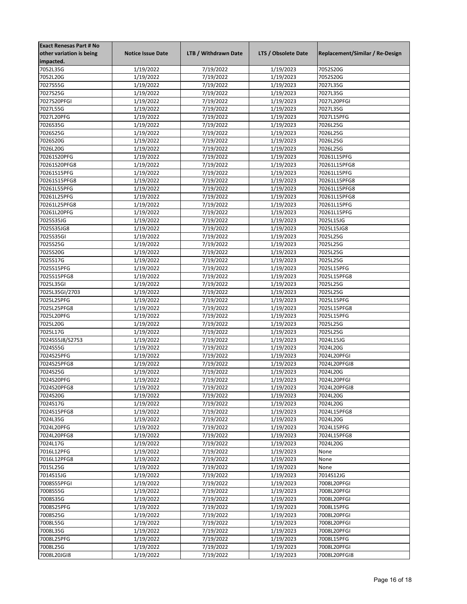| <b>Exact Renesas Part # No</b> |                          |                      |                     |                                 |
|--------------------------------|--------------------------|----------------------|---------------------|---------------------------------|
| other variation is being       | <b>Notice Issue Date</b> | LTB / Withdrawn Date | LTS / Obsolete Date | Replacement/Similar / Re-Design |
| impacted.                      |                          |                      |                     |                                 |
| 7052L35G                       | 1/19/2022                | 7/19/2022            | 1/19/2023           | 7052S20G                        |
| 7052L20G                       | 1/19/2022                | 7/19/2022            | 1/19/2023           | 7052S20G                        |
| 7027S55G                       | 1/19/2022                | 7/19/2022            | 1/19/2023           | 7027L35G                        |
| 7027S25G                       | 1/19/2022                | 7/19/2022            | 1/19/2023           | 7027L35G                        |
| 7027S20PFGI                    | 1/19/2022                | 7/19/2022            | 1/19/2023           | 7027L20PFGI                     |
| 7027L55G                       | 1/19/2022                | 7/19/2022            | 1/19/2023           | 7027L35G                        |
| 7027L20PFG                     | 1/19/2022                | 7/19/2022            | 1/19/2023           | 7027L15PFG                      |
| 7026S35G                       |                          |                      | 1/19/2023           | 7026L25G                        |
|                                | 1/19/2022                | 7/19/2022            |                     |                                 |
| 7026S25G                       | 1/19/2022                | 7/19/2022            | 1/19/2023           | 7026L25G                        |
| 7026S20G                       | 1/19/2022                | 7/19/2022            | 1/19/2023           | 7026L25G                        |
| 7026L20G                       | 1/19/2022                | 7/19/2022            | 1/19/2023           | 7026L25G                        |
| 70261S20PFG                    | 1/19/2022                | 7/19/2022            | 1/19/2023           | 70261L15PFG                     |
| 70261S20PFG8                   | 1/19/2022                | 7/19/2022            | 1/19/2023           | 70261L15PFG8                    |
| 70261S15PFG                    | 1/19/2022                | 7/19/2022            | 1/19/2023           | 70261L15PFG                     |
| 70261S15PFG8                   | 1/19/2022                | 7/19/2022            | 1/19/2023           | 70261L15PFG8                    |
| 70261L55PFG                    | 1/19/2022                | 7/19/2022            | 1/19/2023           | 70261L15PFG8                    |
| 70261L25PFG                    | 1/19/2022                | 7/19/2022            | 1/19/2023           | 70261L15PFG8                    |
| 70261L25PFG8                   | 1/19/2022                | 7/19/2022            | 1/19/2023           | 70261L15PFG                     |
| 70261L20PFG                    | 1/19/2022                | 7/19/2022            | 1/19/2023           | 70261L15PFG                     |
| 7025S35JG                      | 1/19/2022                | 7/19/2022            | 1/19/2023           | 7025L15JG                       |
| 7025S35JG8                     | 1/19/2022                | 7/19/2022            | 1/19/2023           | 7025L15JG8                      |
| 7025S35GI                      | 1/19/2022                | 7/19/2022            | 1/19/2023           | 7025L25G                        |
| 7025S25G                       | 1/19/2022                | 7/19/2022            | 1/19/2023           | 7025L25G                        |
| 7025S20G                       | 1/19/2022                | 7/19/2022            | 1/19/2023           | 7025L25G                        |
| 7025S17G                       | 1/19/2022                | 7/19/2022            | 1/19/2023           | 7025L25G                        |
| 7025S15PFG                     | 1/19/2022                | 7/19/2022            | 1/19/2023           | 7025L15PFG                      |
| 7025S15PFG8                    | 1/19/2022                | 7/19/2022            | 1/19/2023           | 7025L15PFG8                     |
|                                |                          |                      |                     |                                 |
| 7025L35GI                      | 1/19/2022                | 7/19/2022            | 1/19/2023           | 7025L25G                        |
| 7025L35GI/2703                 | 1/19/2022                | 7/19/2022            | 1/19/2023           | 7025L25G                        |
| 7025L25PFG                     | 1/19/2022                | 7/19/2022            | 1/19/2023           | 7025L15PFG                      |
| 7025L25PFG8                    | 1/19/2022                | 7/19/2022            | 1/19/2023           | 7025L15PFG8                     |
| 7025L20PFG                     | 1/19/2022                | 7/19/2022            | 1/19/2023           | 7025L15PFG                      |
| 7025L20G                       | 1/19/2022                | 7/19/2022            | 1/19/2023           | 7025L25G                        |
| 7025L17G                       | 1/19/2022                | 7/19/2022            | 1/19/2023           | 7025L25G                        |
| 7024S55J8/S2753                | 1/19/2022                | 7/19/2022            | 1/19/2023           | 7024L15JG                       |
| 7024S55G                       | 1/19/2022                | 7/19/2022            | 1/19/2023           | 7024L20G                        |
| 7024S25PFG                     | 1/19/2022                | 7/19/2022            | 1/19/2023           | 7024L20PFGI                     |
| 7024S25PFG8                    | 1/19/2022                | 7/19/2022            | 1/19/2023           | 7024L20PFGI8                    |
| 7024S25G                       | 1/19/2022                | 7/19/2022            | 1/19/2023           | 7024L20G                        |
| 7024S20PFG                     | 1/19/2022                | 7/19/2022            | 1/19/2023           | 7024L20PFGI                     |
| 7024S20PFG8                    | 1/19/2022                | 7/19/2022            | 1/19/2023           | 7024L20PFGI8                    |
| 7024S20G                       | 1/19/2022                | 7/19/2022            | 1/19/2023           | 7024L20G                        |
| 7024S17G                       | 1/19/2022                | 7/19/2022            | 1/19/2023           | 7024L20G                        |
| 7024S15PFG8                    | 1/19/2022                | 7/19/2022            | 1/19/2023           | 7024L15PFG8                     |
| 7024L35G                       | 1/19/2022                | 7/19/2022            | 1/19/2023           | 7024L20G                        |
| 7024L20PFG                     | 1/19/2022                | 7/19/2022            | 1/19/2023           | 7024L15PFG                      |
| 7024L20PFG8                    | 1/19/2022                | 7/19/2022            | 1/19/2023           | 7024L15PFG8                     |
| 7024L17G                       | 1/19/2022                | 7/19/2022            | 1/19/2023           | 7024L20G                        |
| 7016L12PFG                     | 1/19/2022                | 7/19/2022            | 1/19/2023           | None                            |
| 7016L12PFG8                    | 1/19/2022                | 7/19/2022            | 1/19/2023           | None                            |
|                                |                          | 7/19/2022            |                     |                                 |
| 7015L25G                       | 1/19/2022                |                      | 1/19/2023           | None                            |
| 7014S15JG                      | 1/19/2022                | 7/19/2022            | 1/19/2023           | 7014S12JG                       |
| 7008S55PFGI                    | 1/19/2022                | 7/19/2022            | 1/19/2023           | 7008L20PFGI                     |
| 7008S55G                       | 1/19/2022                | 7/19/2022            | 1/19/2023           | 7008L20PFGI                     |
| 7008S35G                       | 1/19/2022                | 7/19/2022            | 1/19/2023           | 7008L20PFGI                     |
| 7008S25PFG                     | 1/19/2022                | 7/19/2022            | 1/19/2023           | 7008L15PFG                      |
| 7008S25G                       | 1/19/2022                | 7/19/2022            | 1/19/2023           | 7008L20PFGI                     |
| 7008L55G                       | 1/19/2022                | 7/19/2022            | 1/19/2023           | 7008L20PFGI                     |
| 7008L35G                       | 1/19/2022                | 7/19/2022            | 1/19/2023           | 7008L20PFGI                     |
| 7008L25PFG                     | 1/19/2022                | 7/19/2022            | 1/19/2023           | 7008L15PFG                      |
| 7008L25G                       | 1/19/2022                | 7/19/2022            | 1/19/2023           | 7008L20PFGI                     |
| 7008L20JGI8                    | 1/19/2022                | 7/19/2022            | 1/19/2023           | 7008L20PFGI8                    |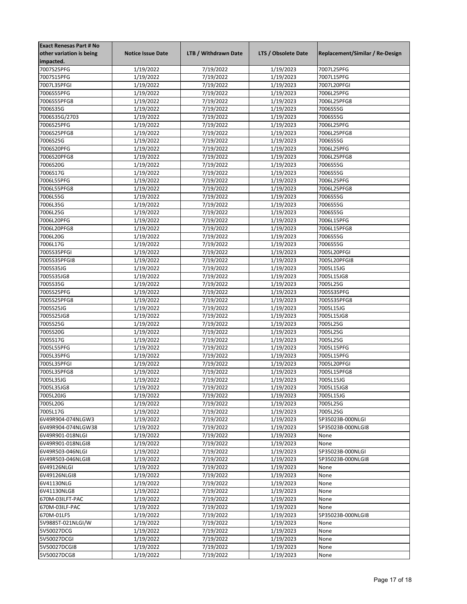| <b>Exact Renesas Part # No</b> |                          |                      |                     |                                 |
|--------------------------------|--------------------------|----------------------|---------------------|---------------------------------|
| other variation is being       | <b>Notice Issue Date</b> | LTB / Withdrawn Date | LTS / Obsolete Date | Replacement/Similar / Re-Design |
| impacted.                      |                          |                      |                     |                                 |
| 7007S25PFG                     | 1/19/2022                | 7/19/2022            | 1/19/2023           | 7007L25PFG                      |
| 7007S15PFG                     | 1/19/2022                | 7/19/2022            | 1/19/2023           | 7007L15PFG                      |
| 7007L35PFGI                    | 1/19/2022                | 7/19/2022            | 1/19/2023           | 7007L20PFGI                     |
| 7006S55PFG                     | 1/19/2022                | 7/19/2022            | 1/19/2023           | 7006L25PFG                      |
| 7006S55PFG8                    | 1/19/2022                | 7/19/2022            | 1/19/2023           | 7006L25PFG8                     |
| 7006S35G                       | 1/19/2022                | 7/19/2022            | 1/19/2023           | 7006S55G                        |
| 7006S35G/2703                  | 1/19/2022                | 7/19/2022            | 1/19/2023           | 7006S55G                        |
| 7006S25PFG                     | 1/19/2022                | 7/19/2022            | 1/19/2023           | 7006L25PFG                      |
| 7006S25PFG8                    | 1/19/2022                | 7/19/2022            | 1/19/2023           | 7006L25PFG8                     |
| 7006S25G                       | 1/19/2022                | 7/19/2022            | 1/19/2023           | 7006S55G                        |
| 7006S20PFG                     | $\frac{1}{1}$ /19/2022   | 7/19/2022            | 1/19/2023           | 7006L25PFG                      |
| 7006S20PFG8                    | 1/19/2022                | 7/19/2022            | 1/19/2023           | 7006L25PFG8                     |
| 7006S20G                       | 1/19/2022                | 7/19/2022            | 1/19/2023           | 7006S55G                        |
| 7006S17G                       | 1/19/2022                | 7/19/2022            | 1/19/2023           | 7006S55G                        |
| 7006L55PFG                     | 1/19/2022                | 7/19/2022            | 1/19/2023           | 7006L25PFG                      |
| 7006L55PFG8                    | 1/19/2022                | 7/19/2022            | 1/19/2023           | 7006L25PFG8                     |
| 7006L55G                       | 1/19/2022                | 7/19/2022            | 1/19/2023           | 7006S55G                        |
| 7006L35G                       | 1/19/2022                | 7/19/2022            | 1/19/2023           | 7006S55G                        |
| 7006L25G                       | 1/19/2022                | 7/19/2022            | 1/19/2023           | 7006S55G                        |
|                                |                          |                      |                     | 7006L15PFG                      |
| 7006L20PFG                     | 1/19/2022                | 7/19/2022            | 1/19/2023           |                                 |
| 7006L20PFG8                    | 1/19/2022                | 7/19/2022            | 1/19/2023           | 7006L15PFG8                     |
| 7006L20G                       | 1/19/2022                | 7/19/2022            | 1/19/2023           | 7006S55G                        |
| 7006L17G                       | 1/19/2022                | 7/19/2022            | 1/19/2023           | 7006S55G                        |
| 7005S35PFGI                    | 1/19/2022                | 7/19/2022            | 1/19/2023           | 7005L20PFGI                     |
| 7005S35PFGI8                   | 1/19/2022                | 7/19/2022            | 1/19/2023           | 7005L20PFGI8                    |
| 7005S35JG                      | 1/19/2022                | 7/19/2022            | 1/19/2023           | 7005L15JG                       |
| 7005S35JG8                     | 1/19/2022                | 7/19/2022            | 1/19/2023           | 7005L15JG8                      |
| 7005S35G                       | 1/19/2022                | 7/19/2022            | 1/19/2023           | 7005L25G                        |
| 7005S25PFG                     | 1/19/2022                | 7/19/2022            | 1/19/2023           | 7005S35PFG                      |
| 7005S25PFG8                    | 1/19/2022                | 7/19/2022            | 1/19/2023           | 7005S35PFG8                     |
| 7005S25JG                      | 1/19/2022                | 7/19/2022            | 1/19/2023           | 7005L15JG                       |
| 7005S25JG8                     | 1/19/2022                | 7/19/2022            | 1/19/2023           | 7005L15JG8                      |
| 7005S25G                       | 1/19/2022                | 7/19/2022            | 1/19/2023           | 7005L25G                        |
| 7005S20G                       | 1/19/2022                | 7/19/2022            | 1/19/2023           | 7005L25G                        |
| 7005S17G                       | 1/19/2022                | 7/19/2022            | 1/19/2023           | 7005L25G                        |
| 7005L55PFG                     | 1/19/2022                | 7/19/2022            | 1/19/2023           | 7005L15PFG                      |
| 7005L35PFG                     | 1/19/2022                | 7/19/2022            | 1/19/2023           | 7005L15PFG                      |
| 7005L35PFGI                    | 1/19/2022                | 7/19/2022            | 1/19/2023           | 7005L20PFGI                     |
| 7005L35PFG8                    | 1/19/2022                | 7/19/2022            | 1/19/2023           | 7005L15PFG8                     |
| 7005L35JG                      | 1/19/2022                | 7/19/2022            | 1/19/2023           | 7005L15JG                       |
| 7005L35JG8                     | 1/19/2022                | 7/19/2022            | 1/19/2023           | 7005L15JG8                      |
| 7005L20JG                      | 1/19/2022                | 7/19/2022            | 1/19/2023           | 7005L15JG                       |
| 7005L20G                       | 1/19/2022                | 7/19/2022            | 1/19/2023           | 7005L25G                        |
| 7005L17G                       | 1/19/2022                | 7/19/2022            | 1/19/2023           | 7005L25G                        |
| 6V49R904-074NLGW3              | 1/19/2022                | 7/19/2022            | 1/19/2023           | 5P35023B-000NLGI                |
| 6V49R904-074NLGW38             | 1/19/2022                | 7/19/2022            | 1/19/2023           | 5P35023B-000NLGI8               |
| 6V49R901-018NLGI               | 1/19/2022                | 7/19/2022            | 1/19/2023           | None                            |
| 6V49R901-018NLGI8              | 1/19/2022                | 7/19/2022            | 1/19/2023           | None                            |
| 6V49R503-046NLGI               | 1/19/2022                | 7/19/2022            | 1/19/2023           | 5P35023B-000NLGI                |
| 6V49R503-046NLGI8              | 1/19/2022                | 7/19/2022            | 1/19/2023           | 5P35023B-000NLGI8               |
| 6V49126NLGI                    | 1/19/2022                | 7/19/2022            | 1/19/2023           | None                            |
| 6V49126NLGI8                   | 1/19/2022                | 7/19/2022            | 1/19/2023           | None                            |
| 6V41130NLG                     | 1/19/2022                | 7/19/2022            | 1/19/2023           | None                            |
| 6V41130NLG8                    | 1/19/2022                | 7/19/2022            | 1/19/2023           | None                            |
| 670M-03ILFT-PAC                | 1/19/2022                | 7/19/2022            | 1/19/2023           | None                            |
| 670M-03ILF-PAC                 | 1/19/2022                | 7/19/2022            | 1/19/2023           | None                            |
| 670M-01LF5                     | 1/19/2022                | 7/19/2022            | 1/19/2023           | 5P35023B-000NLGI8               |
| 5V9885T-021NLGI/W              | 1/19/2022                | 7/19/2022            | 1/19/2023           | None                            |
| 5V50027DCG                     | 1/19/2022                | 7/19/2022            | 1/19/2023           | None                            |
| 5V50027DCGI                    | 1/19/2022                | 7/19/2022            | 1/19/2023           | None                            |
| 5V50027DCGI8                   | 1/19/2022                | 7/19/2022            | 1/19/2023           | None                            |
| 5V50027DCG8                    | 1/19/2022                | 7/19/2022            | 1/19/2023           | None                            |
|                                |                          |                      |                     |                                 |